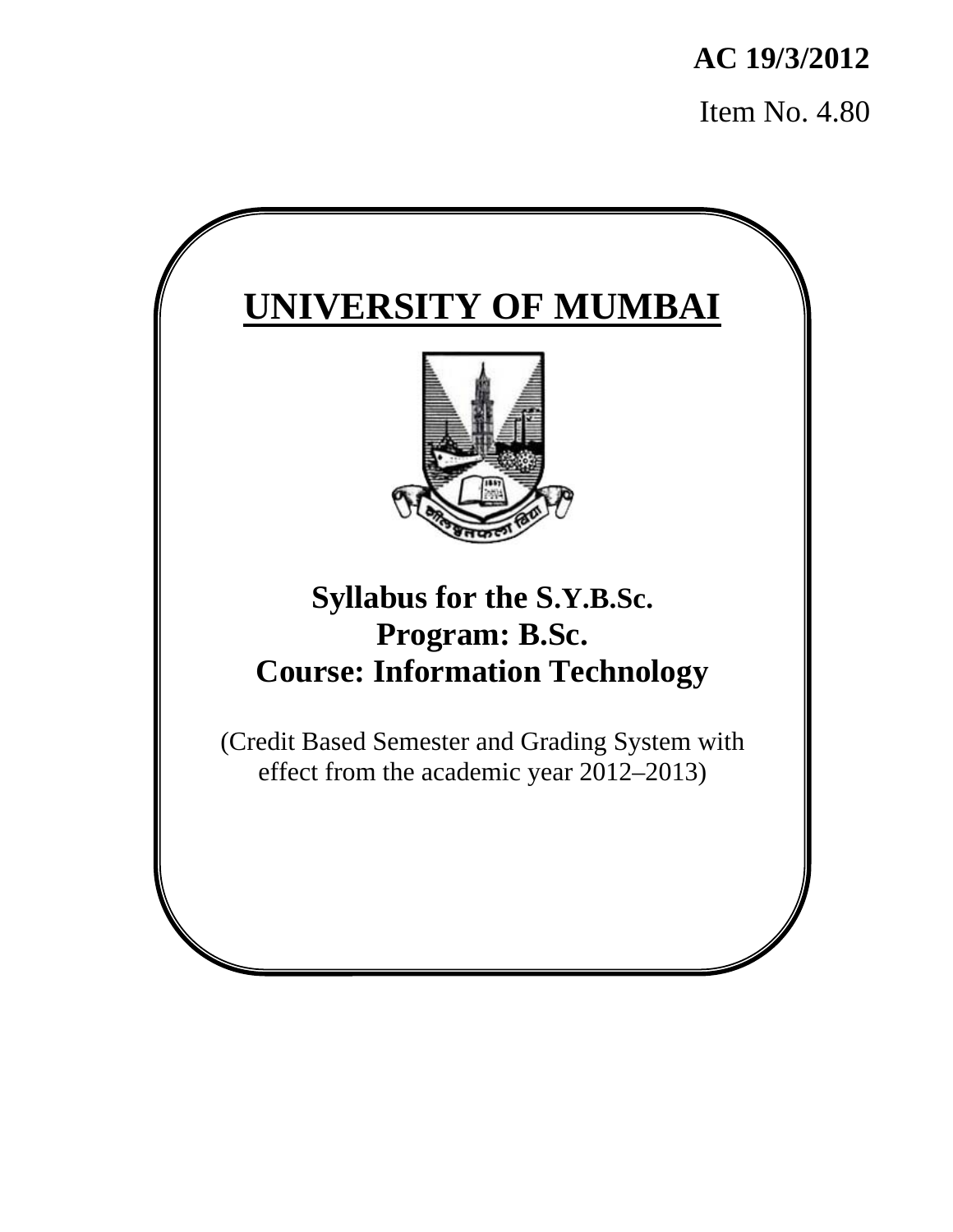**AC 19/3/2012**  Item No. 4.80

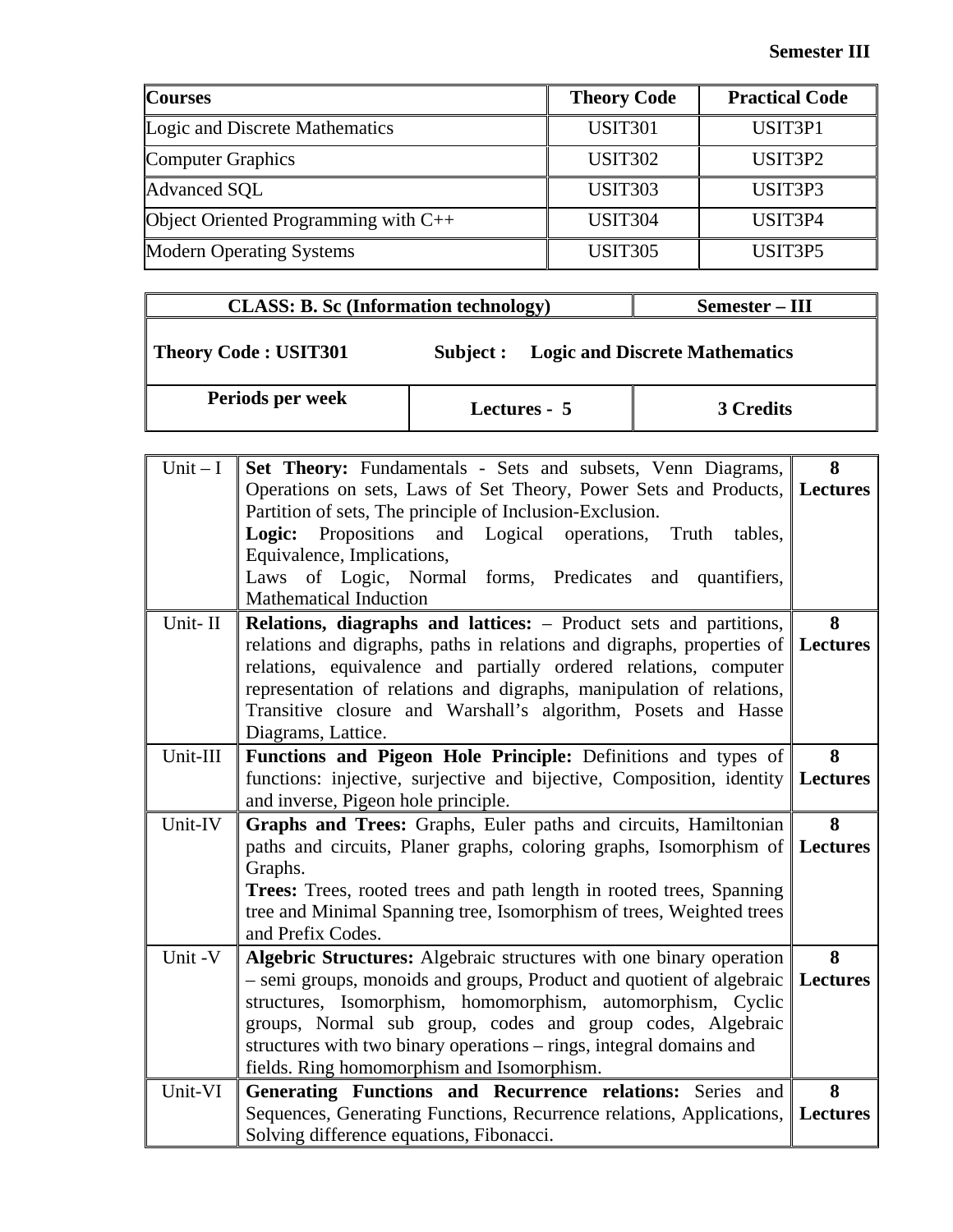| <b>Courses</b>                              | <b>Theory Code</b> | <b>Practical Code</b>            |
|---------------------------------------------|--------------------|----------------------------------|
| Logic and Discrete Mathematics              | <b>USIT301</b>     | USIT3P1                          |
| <b>Computer Graphics</b>                    | <b>USIT302</b>     | USIT <sub>3</sub> P <sub>2</sub> |
| Advanced SQL                                | <b>USIT303</b>     | USIT <sub>3</sub> P <sub>3</sub> |
| <b>Object Oriented Programming with C++</b> | <b>USIT304</b>     | USIT3P4                          |
| <b>Modern Operating Systems</b>             | <b>USIT305</b>     | USIT <sub>3</sub> P <sub>5</sub> |

| <b>CLASS: B. Sc (Information technology)</b> | Semester – III |                                       |
|----------------------------------------------|----------------|---------------------------------------|
| <b>Theory Code: USIT301</b>                  | Subject :      | <b>Logic and Discrete Mathematics</b> |
| Periods per week                             | Lectures - 5   | 3 Credits                             |

| $Unit - I$ | Set Theory: Fundamentals - Sets and subsets, Venn Diagrams,                     | 8               |
|------------|---------------------------------------------------------------------------------|-----------------|
|            | Operations on sets, Laws of Set Theory, Power Sets and Products, Lectures       |                 |
|            | Partition of sets, The principle of Inclusion-Exclusion.                        |                 |
|            | Truth<br>Logic:<br>Propositions and Logical<br>operations,<br>tables,           |                 |
|            | Equivalence, Implications,                                                      |                 |
|            | Laws of Logic, Normal forms, Predicates and quantifiers,                        |                 |
|            | <b>Mathematical Induction</b>                                                   |                 |
| Unit-II    | Relations, diagraphs and lattices: - Product sets and partitions,               | 8               |
|            | relations and digraphs, paths in relations and digraphs, properties of Lectures |                 |
|            | relations, equivalence and partially ordered relations, computer                |                 |
|            | representation of relations and digraphs, manipulation of relations,            |                 |
|            | Transitive closure and Warshall's algorithm, Posets and Hasse                   |                 |
|            | Diagrams, Lattice.                                                              |                 |
| Unit-III   | Functions and Pigeon Hole Principle: Definitions and types of                   | 8               |
|            | functions: injective, surjective and bijective, Composition, identity Lectures  |                 |
|            | and inverse, Pigeon hole principle.                                             |                 |
| Unit-IV    | Graphs and Trees: Graphs, Euler paths and circuits, Hamiltonian                 | 8               |
|            | paths and circuits, Planer graphs, coloring graphs, Isomorphism of Lectures     |                 |
|            | Graphs.                                                                         |                 |
|            | <b>Trees:</b> Trees, rooted trees and path length in rooted trees, Spanning     |                 |
|            | tree and Minimal Spanning tree, Isomorphism of trees, Weighted trees            |                 |
|            | and Prefix Codes.                                                               |                 |
| Unit -V    | Algebric Structures: Algebraic structures with one binary operation             | 8               |
|            | - semi groups, monoids and groups, Product and quotient of algebraic Lectures   |                 |
|            | structures, Isomorphism, homomorphism, automorphism, Cyclic                     |                 |
|            | groups, Normal sub group, codes and group codes, Algebraic                      |                 |
|            | structures with two binary operations – rings, integral domains and             |                 |
|            | fields. Ring homomorphism and Isomorphism.                                      |                 |
| Unit-VI    | Generating Functions and Recurrence relations: Series and                       | 8               |
|            | Sequences, Generating Functions, Recurrence relations, Applications,            | <b>Lectures</b> |
|            | Solving difference equations, Fibonacci.                                        |                 |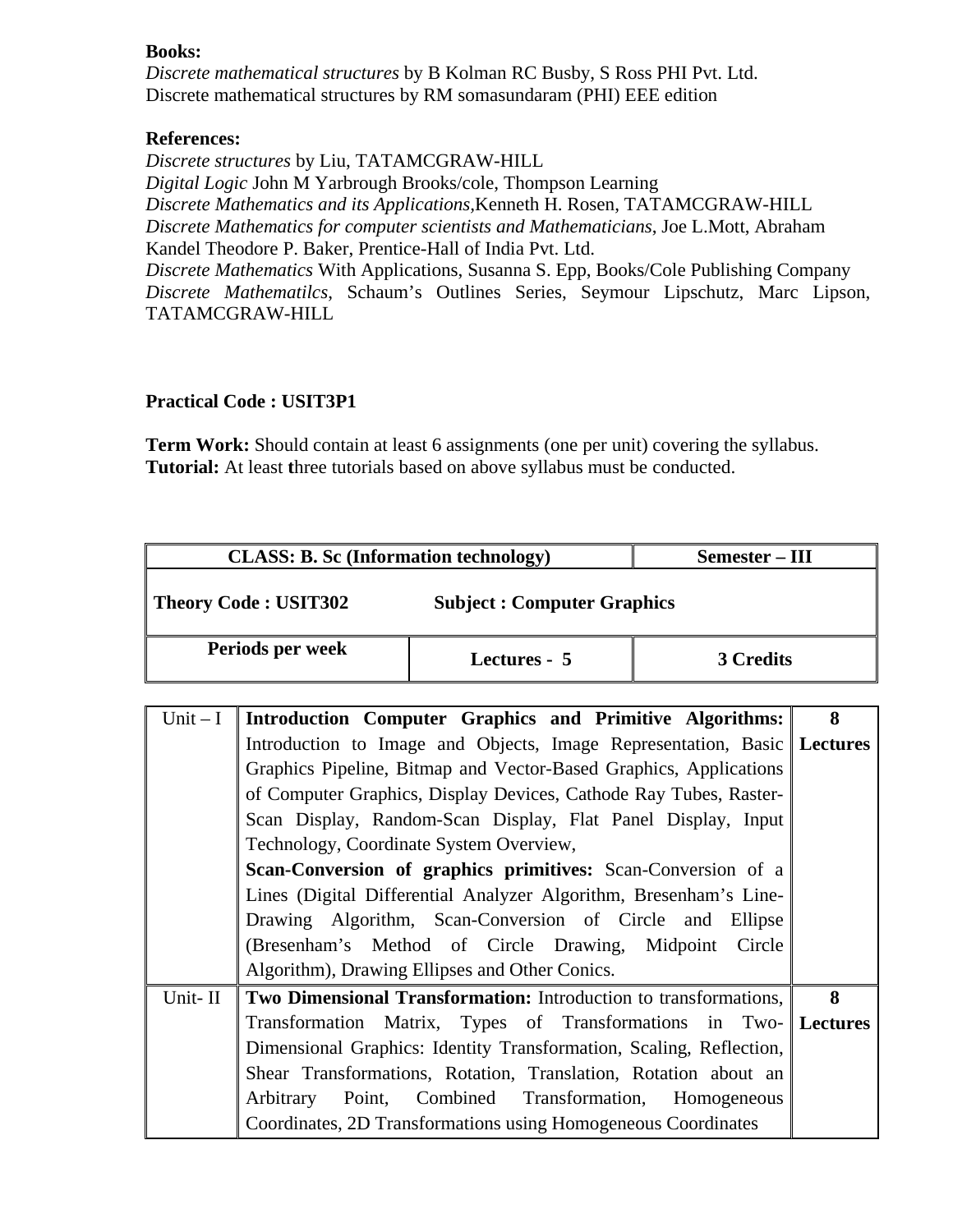*Discrete mathematical structures* by B Kolman RC Busby, S Ross PHI Pvt. Ltd. Discrete mathematical structures by RM somasundaram (PHI) EEE edition

#### **References:**

*Discrete structures* by Liu, TATAMCGRAW-HILL *Digital Logic* John M Yarbrough Brooks/cole, Thompson Learning *Discrete Mathematics and its Applications,*Kenneth H. Rosen, TATAMCGRAW-HILL *Discrete Mathematics for computer scientists and Mathematicians*, Joe L.Mott, Abraham Kandel Theodore P. Baker, Prentice-Hall of India Pvt. Ltd. *Discrete Mathematics* With Applications, Susanna S. Epp, Books/Cole Publishing Company *Discrete Mathematilcs*, Schaum's Outlines Series, Seymour Lipschutz, Marc Lipson, TATAMCGRAW-HILL

#### **Practical Code : USIT3P1**

**Term Work:** Should contain at least 6 assignments (one per unit) covering the syllabus. **Tutorial:** At least **t**hree tutorials based on above syllabus must be conducted.

| <b>CLASS: B. Sc (Information technology)</b>                     |  | Semester – III                                                            |           |   |
|------------------------------------------------------------------|--|---------------------------------------------------------------------------|-----------|---|
| <b>Theory Code: USIT302</b><br><b>Subject: Computer Graphics</b> |  |                                                                           |           |   |
| Periods per week                                                 |  | Lectures - 5                                                              | 3 Credits |   |
|                                                                  |  |                                                                           |           |   |
| Unit $-I$                                                        |  | Introduction Computer Graphics and Primitive Algorithms:                  |           | 8 |
|                                                                  |  | Introduction to Image and Objects, Image Representation, Basic   Lectures |           |   |
|                                                                  |  | Graphics Pipeline, Bitman and Vector-Based Graphics, Applications         |           |   |

|         | Introduction to Image and Objects, Image Representation, Basic Lectures |   |
|---------|-------------------------------------------------------------------------|---|
|         | Graphics Pipeline, Bitmap and Vector-Based Graphics, Applications       |   |
|         | of Computer Graphics, Display Devices, Cathode Ray Tubes, Raster-       |   |
|         | Scan Display, Random-Scan Display, Flat Panel Display, Input            |   |
|         | Technology, Coordinate System Overview,                                 |   |
|         | <b>Scan-Conversion of graphics primitives:</b> Scan-Conversion of a     |   |
|         | Lines (Digital Differential Analyzer Algorithm, Bresenham's Line-       |   |
|         | Drawing Algorithm, Scan-Conversion of Circle and Ellipse                |   |
|         | (Bresenham's Method of Circle Drawing, Midpoint Circle                  |   |
|         | Algorithm), Drawing Ellipses and Other Conics.                          |   |
| Unit-II | Two Dimensional Transformation: Introduction to transformations,        | 8 |
|         | Transformation Matrix, Types of Transformations in Two- Lectures        |   |
|         | Dimensional Graphics: Identity Transformation, Scaling, Reflection,     |   |
|         | Shear Transformations, Rotation, Translation, Rotation about an         |   |
|         | Arbitrary Point, Combined Transformation, Homogeneous                   |   |
|         | Coordinates, 2D Transformations using Homogeneous Coordinates           |   |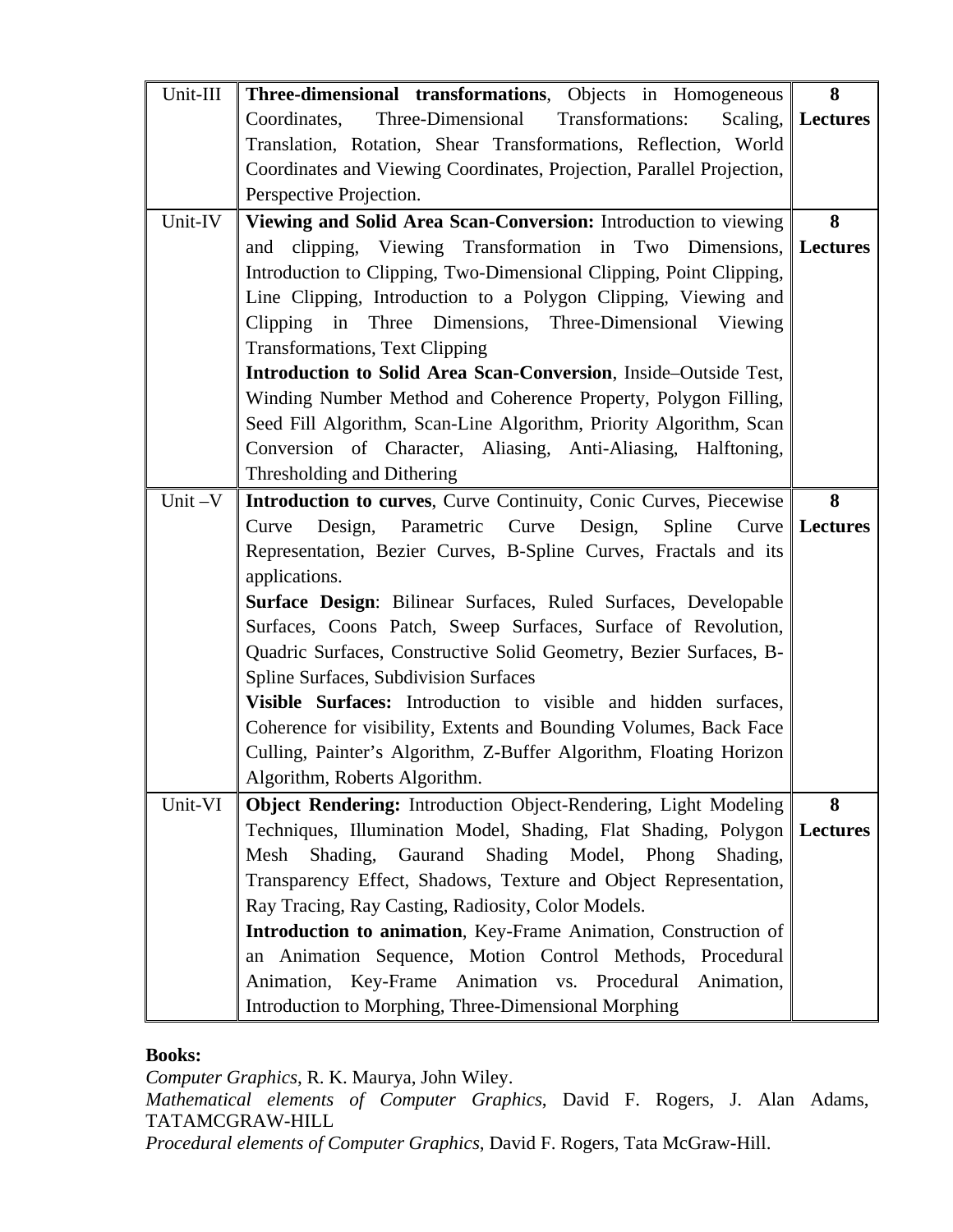| Unit-III | Three-dimensional transformations, Objects in Homogeneous             | 8                   |
|----------|-----------------------------------------------------------------------|---------------------|
|          | Three-Dimensional<br>Transformations:<br>Coordinates,                 | Scaling,   Lectures |
|          | Translation, Rotation, Shear Transformations, Reflection, World       |                     |
|          | Coordinates and Viewing Coordinates, Projection, Parallel Projection, |                     |
|          | Perspective Projection.                                               |                     |
| Unit-IV  | Viewing and Solid Area Scan-Conversion: Introduction to viewing       | 8                   |
|          | clipping, Viewing Transformation in Two Dimensions, Lectures<br>and   |                     |
|          | Introduction to Clipping, Two-Dimensional Clipping, Point Clipping,   |                     |
|          | Line Clipping, Introduction to a Polygon Clipping, Viewing and        |                     |
|          | Clipping<br>in<br>Three Dimensions, Three-Dimensional Viewing         |                     |
|          | <b>Transformations, Text Clipping</b>                                 |                     |
|          | Introduction to Solid Area Scan-Conversion, Inside-Outside Test,      |                     |
|          | Winding Number Method and Coherence Property, Polygon Filling,        |                     |
|          | Seed Fill Algorithm, Scan-Line Algorithm, Priority Algorithm, Scan    |                     |
|          | Conversion of Character, Aliasing, Anti-Aliasing, Halftoning,         |                     |
|          | Thresholding and Dithering                                            |                     |
| Unit-V   | Introduction to curves, Curve Continuity, Conic Curves, Piecewise     | 8                   |
|          | Design,<br>Parametric<br>Curve<br>Design,<br>Spline<br>Curve<br>Curve | <b>Lectures</b>     |
|          | Representation, Bezier Curves, B-Spline Curves, Fractals and its      |                     |
|          | applications.                                                         |                     |
|          | Surface Design: Bilinear Surfaces, Ruled Surfaces, Developable        |                     |
|          | Surfaces, Coons Patch, Sweep Surfaces, Surface of Revolution,         |                     |
|          | Quadric Surfaces, Constructive Solid Geometry, Bezier Surfaces, B-    |                     |
|          | Spline Surfaces, Subdivision Surfaces                                 |                     |
|          | Visible Surfaces: Introduction to visible and hidden surfaces,        |                     |
|          | Coherence for visibility, Extents and Bounding Volumes, Back Face     |                     |
|          | Culling, Painter's Algorithm, Z-Buffer Algorithm, Floating Horizon    |                     |
|          | Algorithm, Roberts Algorithm.                                         |                     |
| Unit-VI  | Object Rendering: Introduction Object-Rendering, Light Modeling       | 8                   |
|          | Techniques, Illumination Model, Shading, Flat Shading, Polygon        | <b>Lectures</b>     |
|          | Gaurand<br>Shading<br>Mesh<br>Shading,<br>Model,<br>Phong<br>Shading, |                     |
|          | Transparency Effect, Shadows, Texture and Object Representation,      |                     |
|          | Ray Tracing, Ray Casting, Radiosity, Color Models.                    |                     |
|          | Introduction to animation, Key-Frame Animation, Construction of       |                     |
|          | an Animation Sequence, Motion Control Methods, Procedural             |                     |
|          | Animation, Key-Frame Animation vs. Procedural<br>Animation,           |                     |
|          | Introduction to Morphing, Three-Dimensional Morphing                  |                     |

*Computer Graphics*, R. K. Maurya, John Wiley.

*Mathematical elements of Computer Graphics*, David F. Rogers, J. Alan Adams, TATAMCGRAW-HILL

*Procedural elements of Computer Graphics*, David F. Rogers, Tata McGraw-Hill.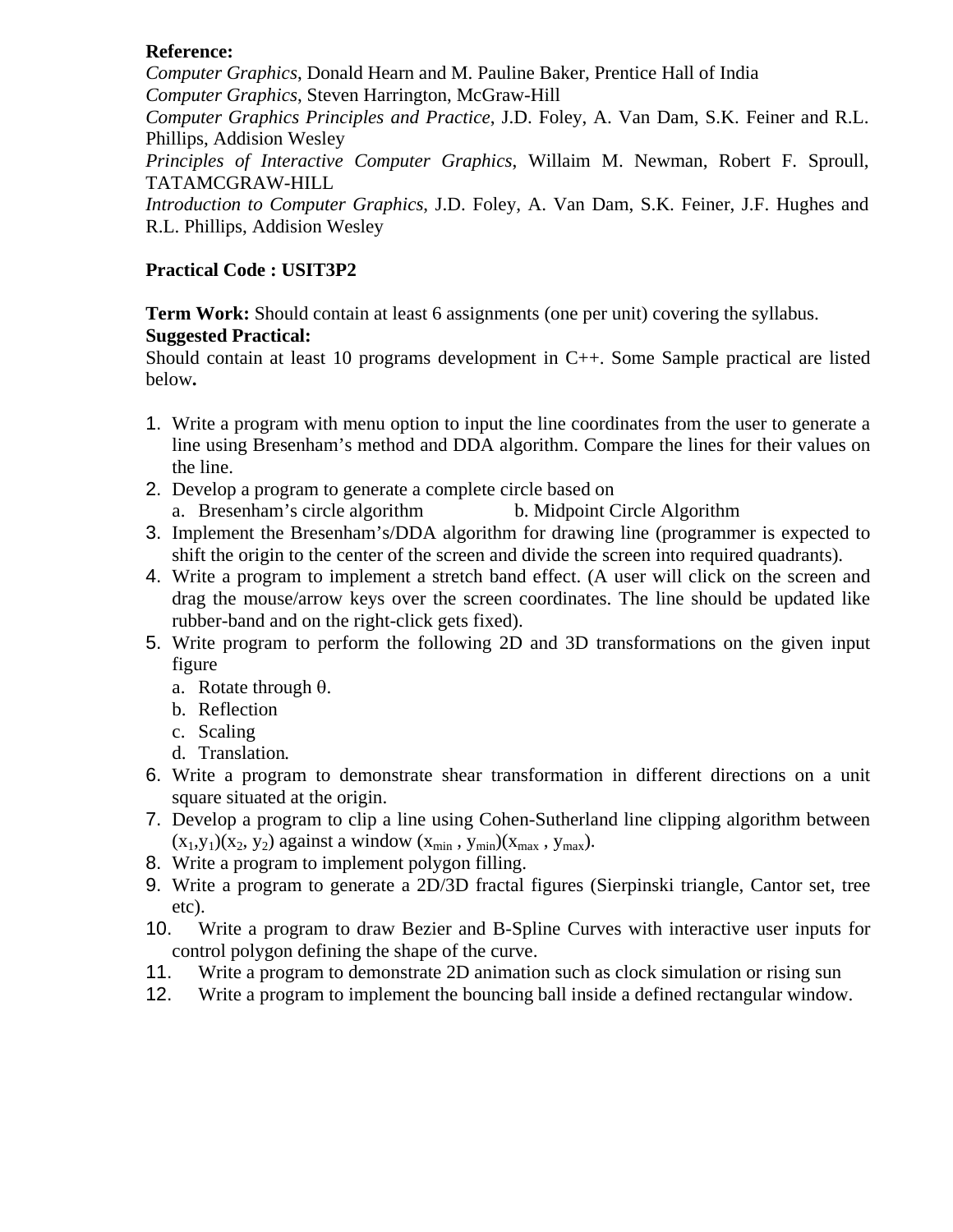#### **Reference:**

*Computer Graphics*, Donald Hearn and M. Pauline Baker, Prentice Hall of India *Computer Graphics*, Steven Harrington, McGraw-Hill

*Computer Graphics Principles and Practice*, J.D. Foley, A. Van Dam, S.K. Feiner and R.L. Phillips, Addision Wesley

*Principles of Interactive Computer Graphics*, Willaim M. Newman, Robert F. Sproull, TATAMCGRAW-HILL

*Introduction to Computer Graphics*, J.D. Foley, A. Van Dam, S.K. Feiner, J.F. Hughes and R.L. Phillips, Addision Wesley

# **Practical Code : USIT3P2**

**Term Work:** Should contain at least 6 assignments (one per unit) covering the syllabus.

# **Suggested Practical:**

Should contain at least 10 programs development in C++. Some Sample practical are listed below**.** 

- 1. Write a program with menu option to input the line coordinates from the user to generate a line using Bresenham's method and DDA algorithm. Compare the lines for their values on the line.
- 2. Develop a program to generate a complete circle based on a. Bresenham's circle algorithm b. Midpoint Circle Algorithm
- 3. Implement the Bresenham's/DDA algorithm for drawing line (programmer is expected to shift the origin to the center of the screen and divide the screen into required quadrants).
- 4. Write a program to implement a stretch band effect. (A user will click on the screen and drag the mouse/arrow keys over the screen coordinates. The line should be updated like rubber-band and on the right-click gets fixed).
- 5. Write program to perform the following 2D and 3D transformations on the given input figure
	- a. Rotate through θ.
	- b. Reflection
	- c. Scaling
	- d. Translation*.*
- 6. Write a program to demonstrate shear transformation in different directions on a unit square situated at the origin.
- 7. Develop a program to clip a line using Cohen-Sutherland line clipping algorithm between  $(x_1,y_1)(x_2, y_2)$  against a window  $(x_{min}, y_{min})(x_{max}, y_{max})$ .
- 8. Write a program to implement polygon filling.
- 9. Write a program to generate a 2D/3D fractal figures (Sierpinski triangle, Cantor set, tree etc).
- 10. Write a program to draw Bezier and B-Spline Curves with interactive user inputs for control polygon defining the shape of the curve.
- 11. Write a program to demonstrate 2D animation such as clock simulation or rising sun
- 12. Write a program to implement the bouncing ball inside a defined rectangular window.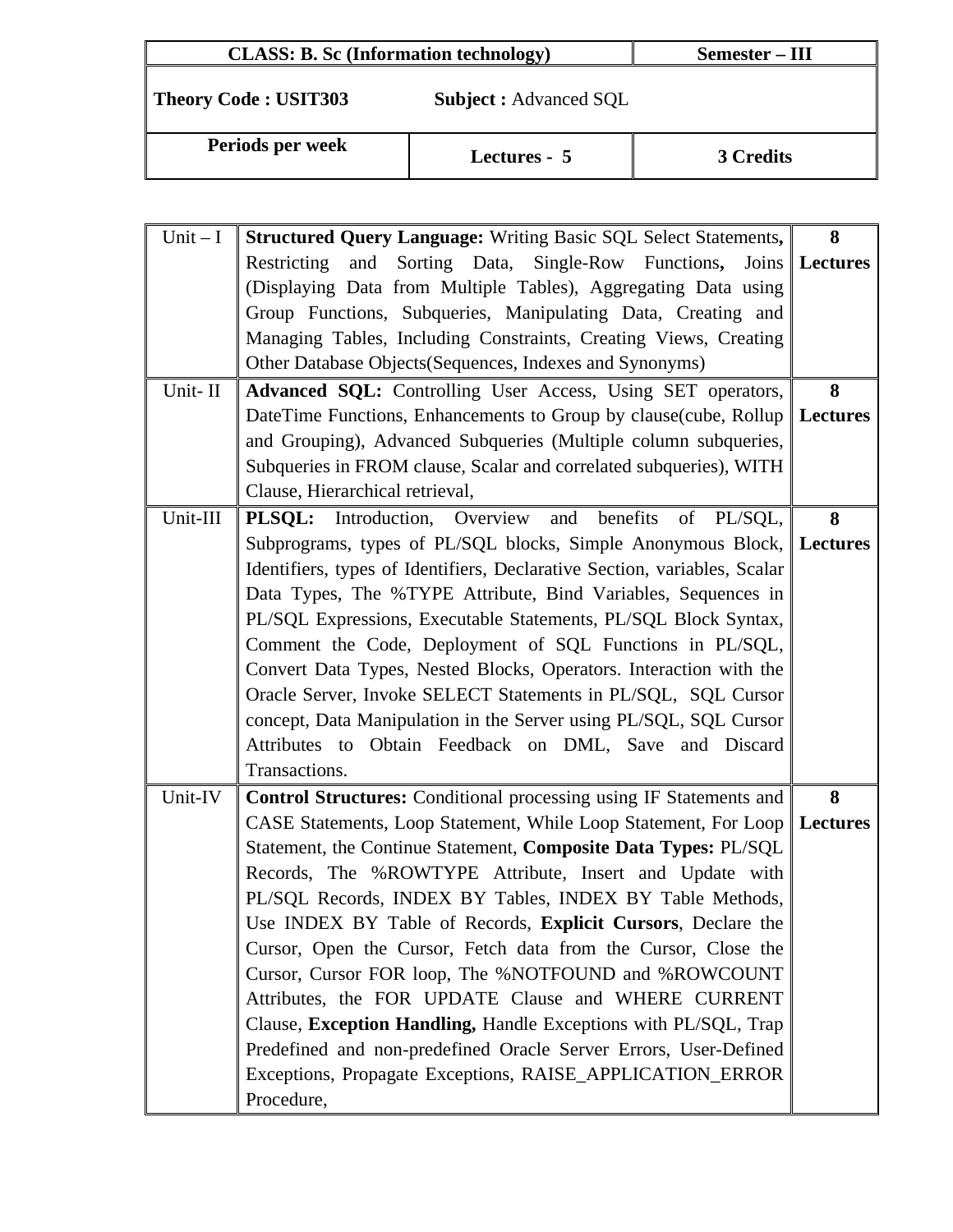| <b>CLASS: B. Sc (Information technology)</b> |                              | Semester – III |
|----------------------------------------------|------------------------------|----------------|
| <b>Theory Code: USIT303</b>                  | <b>Subject:</b> Advanced SQL |                |
| Periods per week                             | Lectures - 5                 | 3 Credits      |

| $Unit - I$ | <b>Structured Query Language:</b> Writing Basic SQL Select Statements,    | 8               |
|------------|---------------------------------------------------------------------------|-----------------|
|            | Restricting<br>Sorting Data, Single-Row Functions, Joins<br>and           | Lectures        |
|            | (Displaying Data from Multiple Tables), Aggregating Data using            |                 |
|            | Group Functions, Subqueries, Manipulating Data, Creating and              |                 |
|            | Managing Tables, Including Constraints, Creating Views, Creating          |                 |
|            | Other Database Objects (Sequences, Indexes and Synonyms)                  |                 |
| Unit-II    | Advanced SQL: Controlling User Access, Using SET operators,               | 8               |
|            | DateTime Functions, Enhancements to Group by clause(cube, Rollup          | <b>Lectures</b> |
|            | and Grouping), Advanced Subqueries (Multiple column subqueries,           |                 |
|            | Subqueries in FROM clause, Scalar and correlated subqueries), WITH        |                 |
|            | Clause, Hierarchical retrieval,                                           |                 |
| Unit-III   | <b>PLSQL:</b> Introduction, Overview and benefits<br>of PL/SQL,           | 8               |
|            | Subprograms, types of PL/SQL blocks, Simple Anonymous Block, Lectures     |                 |
|            | Identifiers, types of Identifiers, Declarative Section, variables, Scalar |                 |
|            | Data Types, The %TYPE Attribute, Bind Variables, Sequences in             |                 |
|            | PL/SQL Expressions, Executable Statements, PL/SQL Block Syntax,           |                 |
|            | Comment the Code, Deployment of SQL Functions in PL/SQL,                  |                 |
|            | Convert Data Types, Nested Blocks, Operators. Interaction with the        |                 |
|            | Oracle Server, Invoke SELECT Statements in PL/SQL, SQL Cursor             |                 |
|            | concept, Data Manipulation in the Server using PL/SQL, SQL Cursor         |                 |
|            | Attributes to Obtain Feedback on DML, Save and Discard                    |                 |
|            | Transactions.                                                             |                 |
| Unit-IV    | <b>Control Structures:</b> Conditional processing using IF Statements and | 8               |
|            | CASE Statements, Loop Statement, While Loop Statement, For Loop           | <b>Lectures</b> |
|            | Statement, the Continue Statement, Composite Data Types: PL/SQL           |                 |
|            | Records, The %ROWTYPE Attribute, Insert and Update with                   |                 |
|            | PL/SQL Records, INDEX BY Tables, INDEX BY Table Methods,                  |                 |
|            | Use INDEX BY Table of Records, Explicit Cursors, Declare the              |                 |
|            | Cursor, Open the Cursor, Fetch data from the Cursor, Close the            |                 |
|            | Cursor, Cursor FOR loop, The %NOTFOUND and %ROWCOUNT                      |                 |
|            | Attributes, the FOR UPDATE Clause and WHERE CURRENT                       |                 |
|            | Clause, Exception Handling, Handle Exceptions with PL/SQL, Trap           |                 |
|            | Predefined and non-predefined Oracle Server Errors, User-Defined          |                 |
|            | Exceptions, Propagate Exceptions, RAISE_APPLICATION_ERROR                 |                 |
|            | Procedure,                                                                |                 |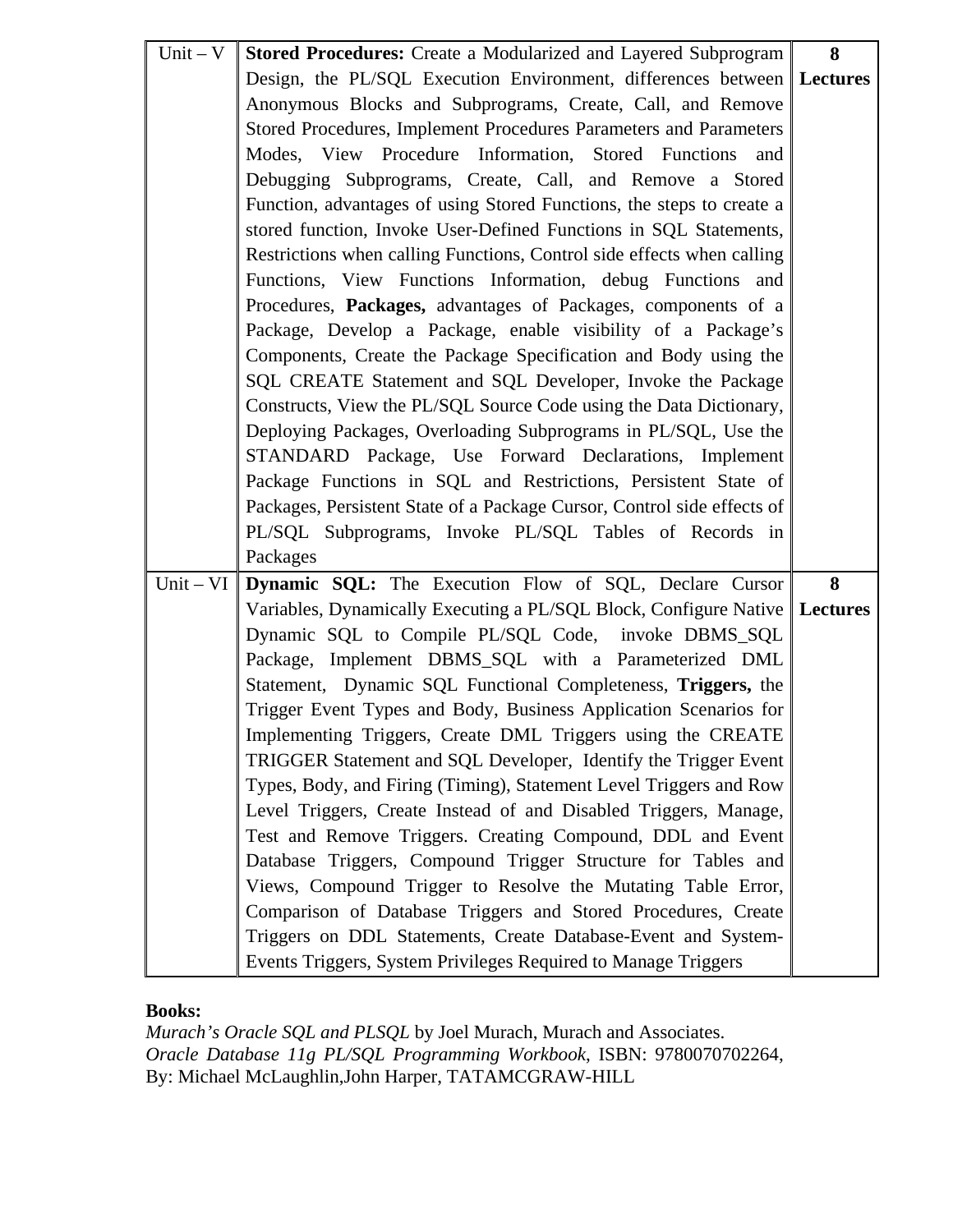| $Unit - V$ | <b>Stored Procedures:</b> Create a Modularized and Layered Subprogram        | 8 |
|------------|------------------------------------------------------------------------------|---|
|            | Design, the PL/SQL Execution Environment, differences between Lectures       |   |
|            | Anonymous Blocks and Subprograms, Create, Call, and Remove                   |   |
|            | Stored Procedures, Implement Procedures Parameters and Parameters            |   |
|            | Modes, View Procedure Information, Stored Functions<br>and                   |   |
|            | Debugging Subprograms, Create, Call, and Remove a Stored                     |   |
|            | Function, advantages of using Stored Functions, the steps to create a        |   |
|            | stored function, Invoke User-Defined Functions in SQL Statements,            |   |
|            | Restrictions when calling Functions, Control side effects when calling       |   |
|            | Functions, View Functions Information, debug Functions and                   |   |
|            | Procedures, Packages, advantages of Packages, components of a                |   |
|            | Package, Develop a Package, enable visibility of a Package's                 |   |
|            | Components, Create the Package Specification and Body using the              |   |
|            | SQL CREATE Statement and SQL Developer, Invoke the Package                   |   |
|            | Constructs, View the PL/SQL Source Code using the Data Dictionary,           |   |
|            | Deploying Packages, Overloading Subprograms in PL/SQL, Use the               |   |
|            | STANDARD Package, Use Forward Declarations, Implement                        |   |
|            | Package Functions in SQL and Restrictions, Persistent State of               |   |
|            | Packages, Persistent State of a Package Cursor, Control side effects of      |   |
|            | PL/SQL Subprograms, Invoke PL/SQL Tables of Records in                       |   |
|            | Packages                                                                     |   |
|            | Unit – VI Dynamic SQL: The Execution Flow of SQL, Declare Cursor             | 8 |
|            | Variables, Dynamically Executing a PL/SQL Block, Configure Native   Lectures |   |
|            | Dynamic SQL to Compile PL/SQL Code, invoke DBMS_SQL                          |   |
|            | Package, Implement DBMS_SQL with a Parameterized DML                         |   |
|            | Statement, Dynamic SQL Functional Completeness, Triggers, the                |   |
|            | Trigger Event Types and Body, Business Application Scenarios for             |   |
|            | Implementing Triggers, Create DML Triggers using the CREATE                  |   |
|            | TRIGGER Statement and SQL Developer, Identify the Trigger Event              |   |
|            | Types, Body, and Firing (Timing), Statement Level Triggers and Row           |   |
|            | Level Triggers, Create Instead of and Disabled Triggers, Manage,             |   |
|            | Test and Remove Triggers. Creating Compound, DDL and Event                   |   |
|            | Database Triggers, Compound Trigger Structure for Tables and                 |   |
|            | Views, Compound Trigger to Resolve the Mutating Table Error,                 |   |
|            | Comparison of Database Triggers and Stored Procedures, Create                |   |
|            | Triggers on DDL Statements, Create Database-Event and System-                |   |
|            | Events Triggers, System Privileges Required to Manage Triggers               |   |

*Murach's Oracle SQL and PLSQL* by Joel Murach, Murach and Associates. *Oracle Database 11g PL/SQL Programming Workbook*, ISBN: 9780070702264, By: Michael McLaughlin,John Harper, TATAMCGRAW-HILL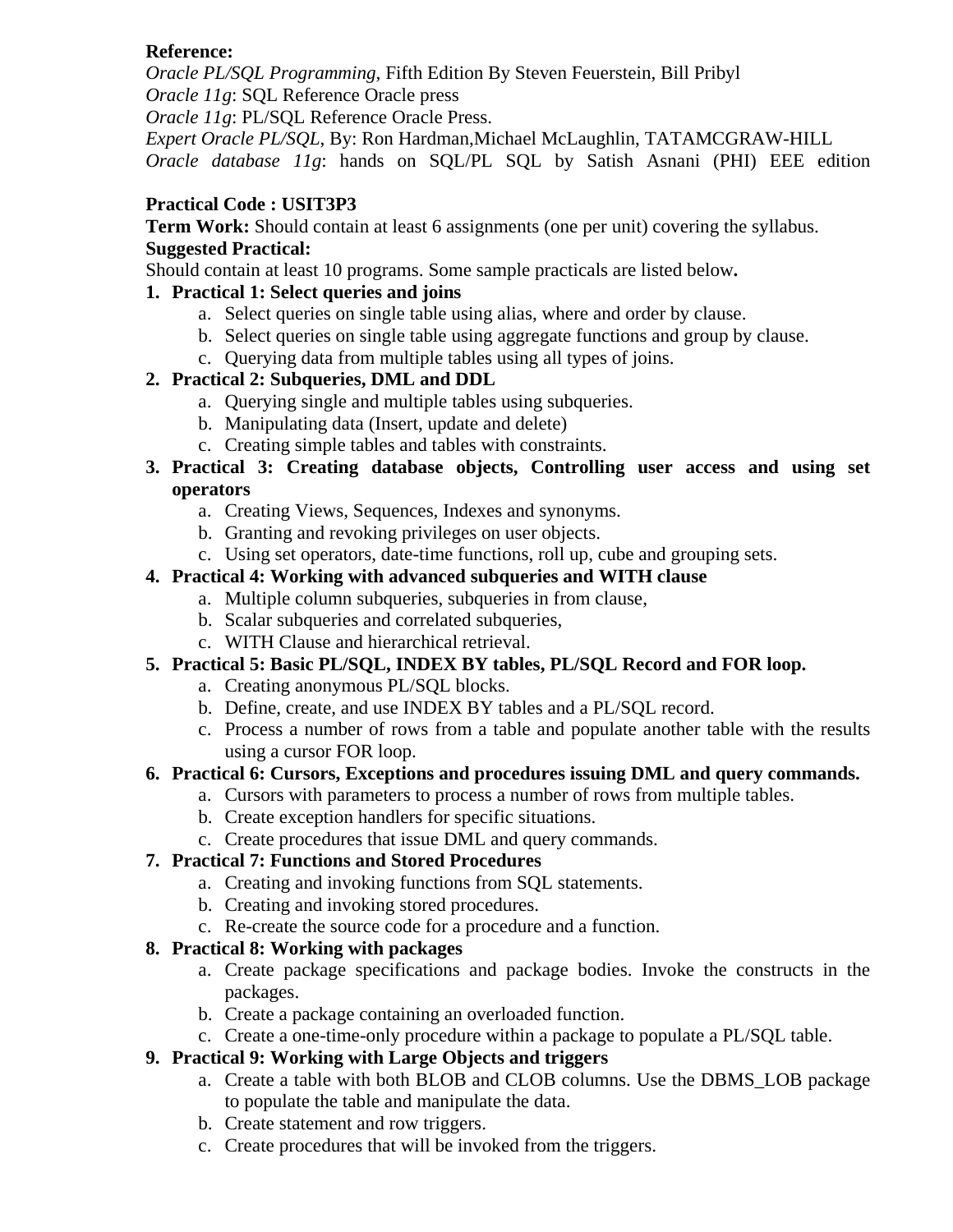## **Reference:**

*Oracle PL/SQL Programming*, Fifth Edition By Steven Feuerstein, Bill Pribyl *Oracle 11g*: SQL Reference Oracle press

*Oracle 11g*: PL/SQL Reference Oracle Press.

*Expert Oracle PL/SQL*, By: Ron Hardman,Michael McLaughlin, TATAMCGRAW-HILL *Oracle database 11g*: hands on SQL/PL SQL by Satish Asnani (PHI) EEE edition

## **Practical Code : USIT3P3**

**Term Work:** Should contain at least 6 assignments (one per unit) covering the syllabus. **Suggested Practical:** 

Should contain at least 10 programs. Some sample practicals are listed below**.** 

# **1. Practical 1: Select queries and joins**

- a. Select queries on single table using alias, where and order by clause.
- b. Select queries on single table using aggregate functions and group by clause.
- c. Querying data from multiple tables using all types of joins.

# **2. Practical 2: Subqueries, DML and DDL**

- a. Querying single and multiple tables using subqueries.
- b. Manipulating data (Insert, update and delete)
- c. Creating simple tables and tables with constraints.
- **3. Practical 3: Creating database objects, Controlling user access and using set operators** 
	- a. Creating Views, Sequences, Indexes and synonyms.
	- b. Granting and revoking privileges on user objects.
	- c. Using set operators, date-time functions, roll up, cube and grouping sets.

# **4. Practical 4: Working with advanced subqueries and WITH clause**

- a. Multiple column subqueries, subqueries in from clause,
- b. Scalar subqueries and correlated subqueries,
- c. WITH Clause and hierarchical retrieval.

# **5. Practical 5: Basic PL/SQL, INDEX BY tables, PL/SQL Record and FOR loop.**

- a. Creating anonymous PL/SQL blocks.
- b. Define, create, and use INDEX BY tables and a PL/SQL record.
- c. Process a number of rows from a table and populate another table with the results using a cursor FOR loop.

# **6. Practical 6: Cursors, Exceptions and procedures issuing DML and query commands.**

- a. Cursors with parameters to process a number of rows from multiple tables.
- b. Create exception handlers for specific situations.
- c. Create procedures that issue DML and query commands.

# **7. Practical 7: Functions and Stored Procedures**

- a. Creating and invoking functions from SQL statements.
- b. Creating and invoking stored procedures.
- c. Re-create the source code for a procedure and a function.

# **8. Practical 8: Working with packages**

- a. Create package specifications and package bodies. Invoke the constructs in the packages.
- b. Create a package containing an overloaded function.
- c. Create a one-time-only procedure within a package to populate a PL/SQL table.

# **9. Practical 9: Working with Large Objects and triggers**

- a. Create a table with both BLOB and CLOB columns. Use the DBMS\_LOB package to populate the table and manipulate the data.
- b. Create statement and row triggers.
- c. Create procedures that will be invoked from the triggers.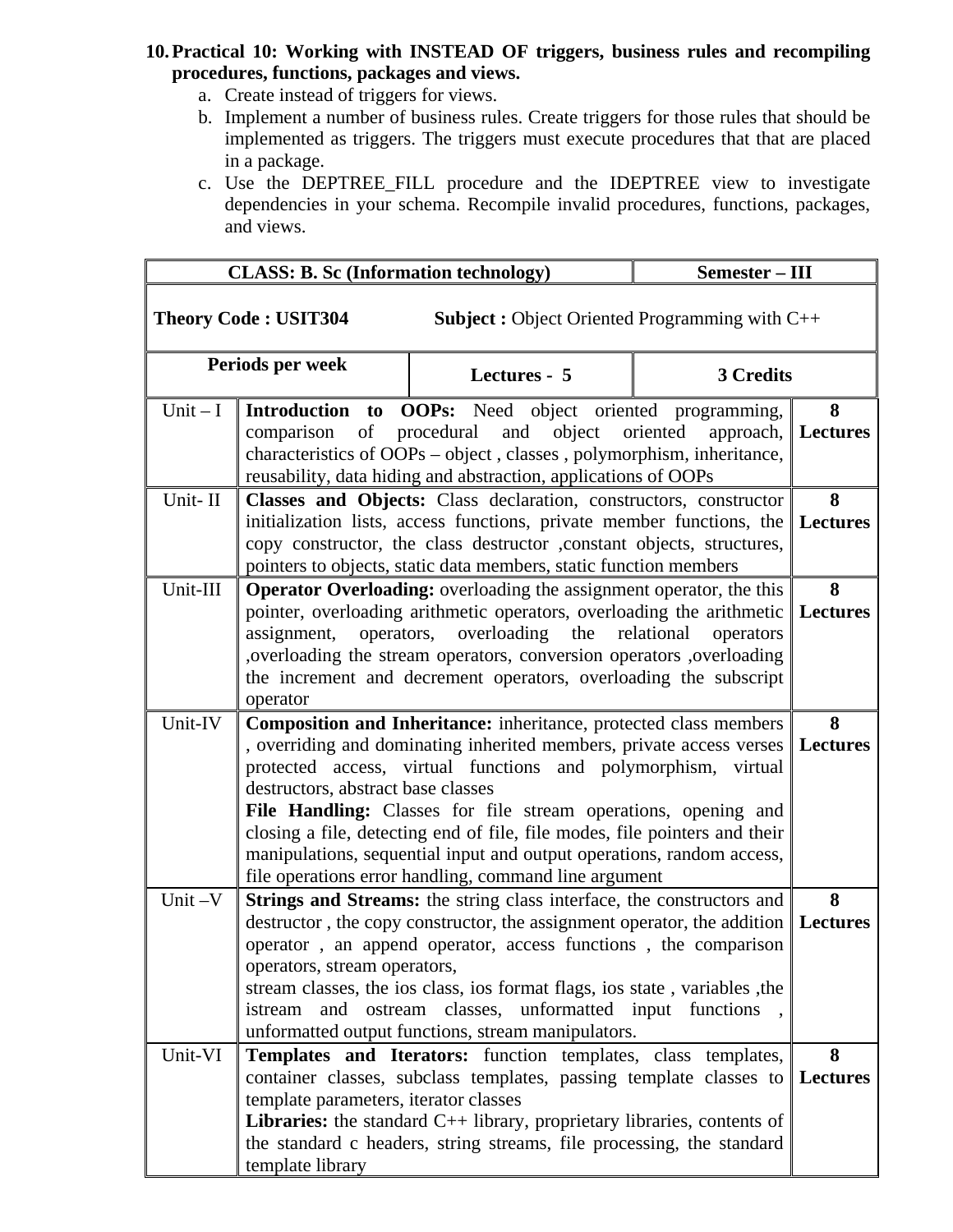#### **10.Practical 10: Working with INSTEAD OF triggers, business rules and recompiling procedures, functions, packages and views.**

- a. Create instead of triggers for views.
- b. Implement a number of business rules. Create triggers for those rules that should be implemented as triggers. The triggers must execute procedures that that are placed in a package.
- c. Use the DEPTREE\_FILL procedure and the IDEPTREE view to investigate dependencies in your schema. Recompile invalid procedures, functions, packages, and views.

|           | <b>CLASS: B. Sc (Information technology)</b>                                                                                              |                                                                                                                                                 | Semester - III          |                 |
|-----------|-------------------------------------------------------------------------------------------------------------------------------------------|-------------------------------------------------------------------------------------------------------------------------------------------------|-------------------------|-----------------|
|           | <b>Theory Code: USIT304</b>                                                                                                               | <b>Subject :</b> Object Oriented Programming with $C++$                                                                                         |                         |                 |
|           | Periods per week                                                                                                                          | Lectures - 5                                                                                                                                    | 3 Credits               |                 |
| Unit $-I$ |                                                                                                                                           | Introduction to OOPs: Need object oriented programming,                                                                                         |                         | 8               |
|           |                                                                                                                                           | comparison of procedural and object oriented                                                                                                    | approach,               | Lectures        |
|           |                                                                                                                                           | characteristics of OOPs - object, classes, polymorphism, inheritance,                                                                           |                         |                 |
|           |                                                                                                                                           | reusability, data hiding and abstraction, applications of OOPs                                                                                  |                         |                 |
| Unit-II   |                                                                                                                                           | Classes and Objects: Class declaration, constructors, constructor                                                                               |                         | 8               |
|           |                                                                                                                                           | initialization lists, access functions, private member functions, the<br>copy constructor, the class destructor , constant objects, structures, |                         | <b>Lectures</b> |
|           |                                                                                                                                           | pointers to objects, static data members, static function members                                                                               |                         |                 |
| Unit-III  |                                                                                                                                           | <b>Operator Overloading:</b> overloading the assignment operator, the this                                                                      |                         | 8               |
|           |                                                                                                                                           | pointer, overloading arithmetic operators, overloading the arithmetic                                                                           |                         | <b>Lectures</b> |
|           | assignment,<br>operators,                                                                                                                 | overloading<br>the                                                                                                                              | relational<br>operators |                 |
|           |                                                                                                                                           | , overloading the stream operators, conversion operators , overloading                                                                          |                         |                 |
|           |                                                                                                                                           | the increment and decrement operators, overloading the subscript                                                                                |                         |                 |
|           | operator                                                                                                                                  |                                                                                                                                                 |                         |                 |
| Unit-IV   | Composition and Inheritance: inheritance, protected class members<br>, overriding and dominating inherited members, private access verses |                                                                                                                                                 |                         | 8               |
|           |                                                                                                                                           | protected access, virtual functions and polymorphism, virtual                                                                                   |                         | Lectures        |
|           | destructors, abstract base classes                                                                                                        |                                                                                                                                                 |                         |                 |
|           |                                                                                                                                           | File Handling: Classes for file stream operations, opening and                                                                                  |                         |                 |
|           |                                                                                                                                           | closing a file, detecting end of file, file modes, file pointers and their                                                                      |                         |                 |
|           |                                                                                                                                           | manipulations, sequential input and output operations, random access,                                                                           |                         |                 |
|           |                                                                                                                                           | file operations error handling, command line argument                                                                                           |                         |                 |
| Unit-V    |                                                                                                                                           | Strings and Streams: the string class interface, the constructors and                                                                           |                         | 8               |
|           |                                                                                                                                           | destructor, the copy constructor, the assignment operator, the addition                                                                         |                         | <b>Lectures</b> |
|           |                                                                                                                                           | operator, an append operator, access functions, the comparison                                                                                  |                         |                 |
|           | operators, stream operators,                                                                                                              |                                                                                                                                                 |                         |                 |
|           | istream<br>and                                                                                                                            | stream classes, the ios class, ios format flags, ios state, variables, the<br>ostream classes, unformatted input functions                      |                         |                 |
|           |                                                                                                                                           | unformatted output functions, stream manipulators.                                                                                              |                         |                 |
| Unit-VI   |                                                                                                                                           | Templates and Iterators: function templates, class templates,                                                                                   |                         | 8               |
|           |                                                                                                                                           | container classes, subclass templates, passing template classes to                                                                              |                         | <b>Lectures</b> |
|           | template parameters, iterator classes                                                                                                     |                                                                                                                                                 |                         |                 |
|           |                                                                                                                                           | <b>Libraries:</b> the standard $C++$ library, proprietary libraries, contents of                                                                |                         |                 |
|           |                                                                                                                                           | the standard c headers, string streams, file processing, the standard                                                                           |                         |                 |
|           | template library                                                                                                                          |                                                                                                                                                 |                         |                 |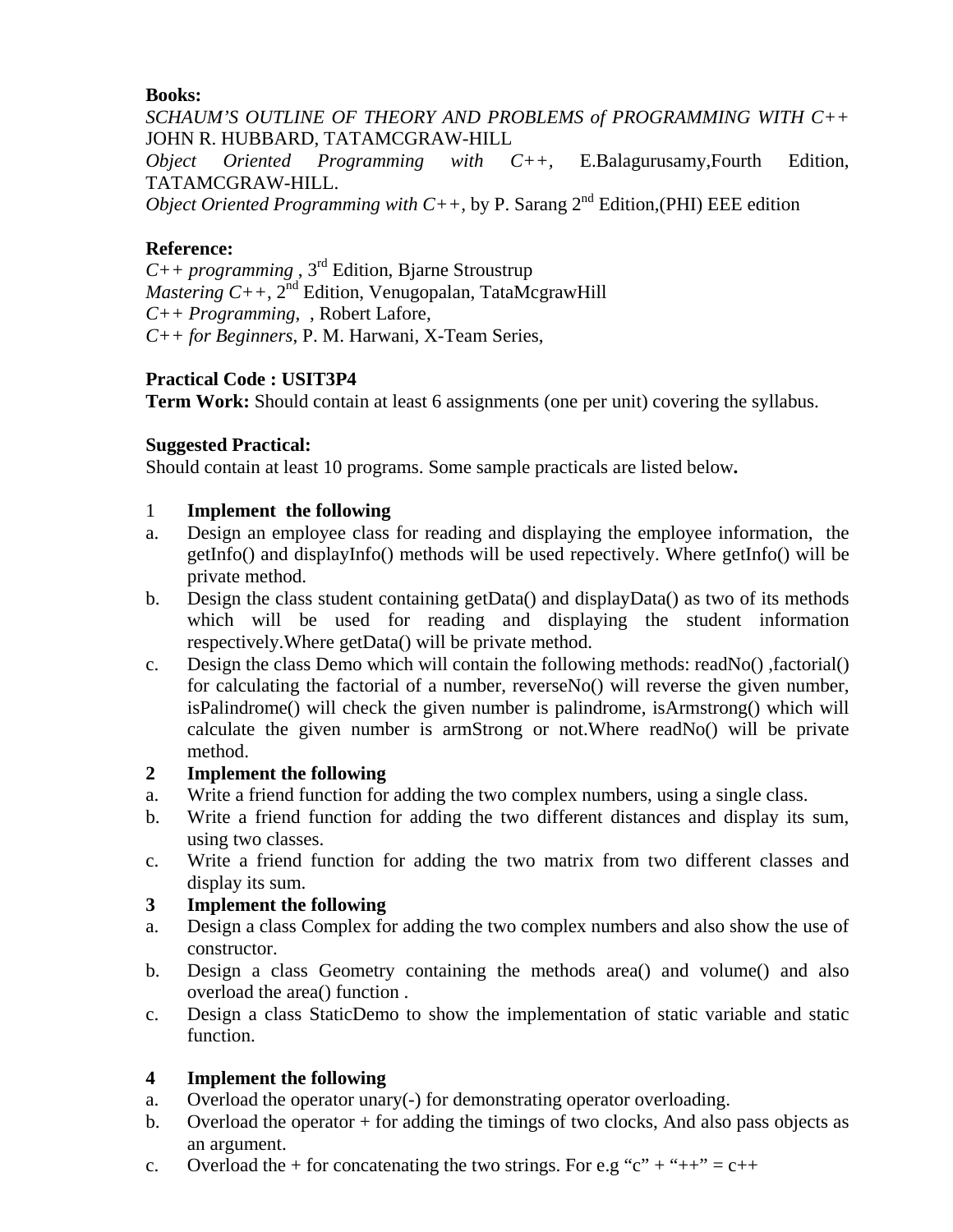*SCHAUM'S OUTLINE OF THEORY AND PROBLEMS of PROGRAMMING WITH C++* JOHN R. HUBBARD, TATAMCGRAW-HILL

*Object Oriented Programming with C++,* E.Balagurusamy,Fourth Edition, TATAMCGRAW-HILL.

*Object Oriented Programming with C++,* by P. Sarang  $2<sup>nd</sup>$  Edition,(PHI) EEE edition

# **Reference:**

*C++ programming* , 3rd Edition, Bjarne Stroustrup *Mastering C++, 2<sup>nd</sup>* Edition, Venugopalan, TataMcgrawHill *C++ Programming*, , Robert Lafore, *C++ for Beginners*, P. M. Harwani, X-Team Series,

# **Practical Code : USIT3P4**

**Term Work:** Should contain at least 6 assignments (one per unit) covering the syllabus.

# **Suggested Practical:**

Should contain at least 10 programs. Some sample practicals are listed below**.** 

# 1 **Implement the following**

- a. Design an employee class for reading and displaying the employee information, the getInfo() and displayInfo() methods will be used repectively. Where getInfo() will be private method.
- b. Design the class student containing getData() and displayData() as two of its methods which will be used for reading and displaying the student information respectively.Where getData() will be private method.
- c. Design the class Demo which will contain the following methods: readNo() ,factorial() for calculating the factorial of a number, reverseNo() will reverse the given number, isPalindrome() will check the given number is palindrome, isArmstrong() which will calculate the given number is armStrong or not.Where readNo() will be private method.

# **2 Implement the following**

- a. Write a friend function for adding the two complex numbers, using a single class.
- b. Write a friend function for adding the two different distances and display its sum, using two classes.
- c. Write a friend function for adding the two matrix from two different classes and display its sum.

# **3 Implement the following**

- a. Design a class Complex for adding the two complex numbers and also show the use of constructor.
- b. Design a class Geometry containing the methods area() and volume() and also overload the area() function .
- c. Design a class StaticDemo to show the implementation of static variable and static function.

# **4 Implement the following**

- a. Overload the operator unary(-) for demonstrating operator overloading.
- b. Overload the operator  $+$  for adding the timings of two clocks, And also pass objects as an argument.
- c. Overload the + for concatenating the two strings. For e.g "c" + "++" =  $c$ ++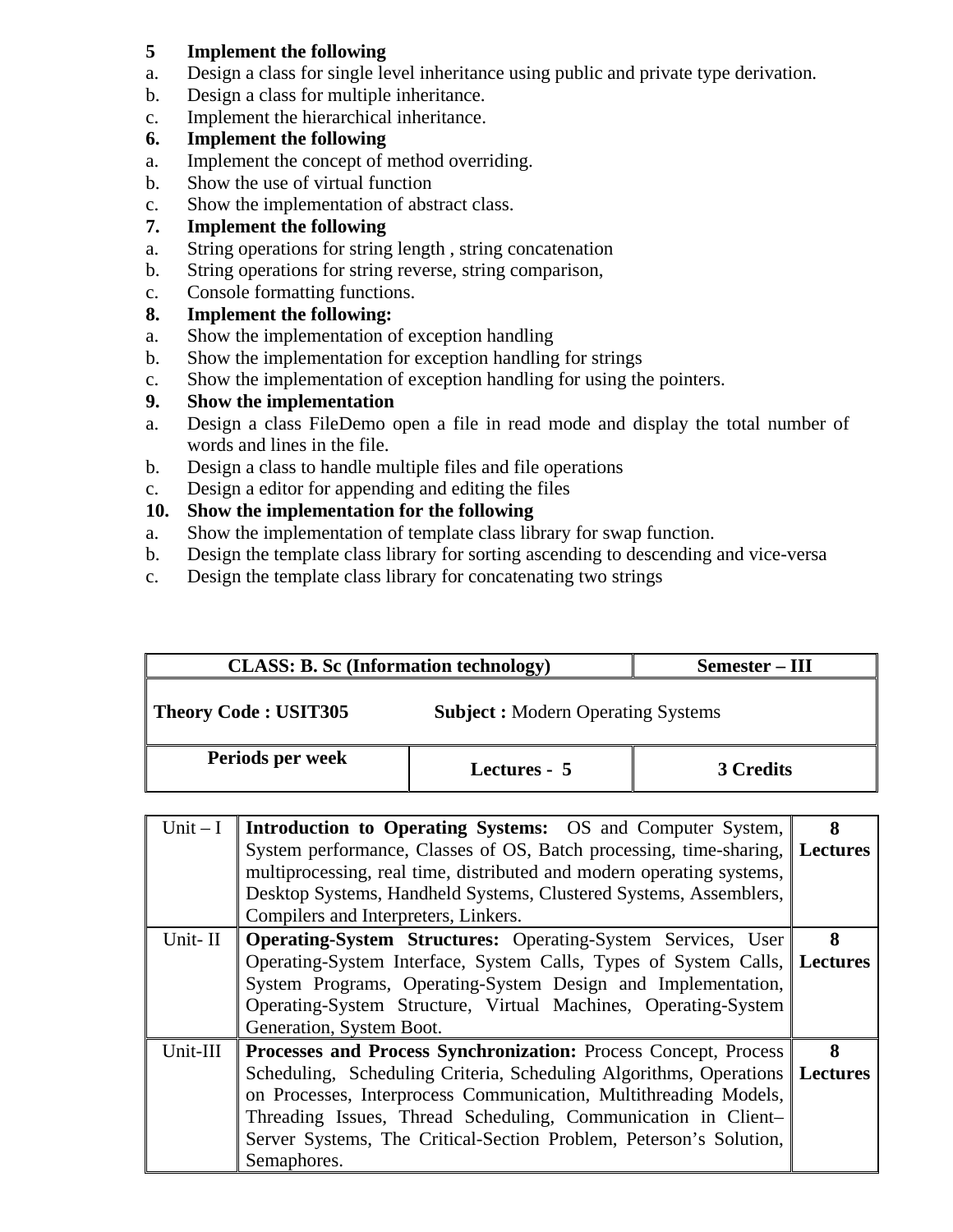## **5 Implement the following**

- a. Design a class for single level inheritance using public and private type derivation.
- b. Design a class for multiple inheritance.
- c. Implement the hierarchical inheritance.

## **6. Implement the following**

- a. Implement the concept of method overriding.
- b. Show the use of virtual function
- c. Show the implementation of abstract class.

## **7. Implement the following**

- a. String operations for string length , string concatenation
- b. String operations for string reverse, string comparison,
- c. Console formatting functions.
- **8. Implement the following:**
- a. Show the implementation of exception handling
- b. Show the implementation for exception handling for strings
- c. Show the implementation of exception handling for using the pointers.
- **9. Show the implementation**
- a. Design a class FileDemo open a file in read mode and display the total number of words and lines in the file.
- b. Design a class to handle multiple files and file operations
- c. Design a editor for appending and editing the files

# **10. Show the implementation for the following**

- a. Show the implementation of template class library for swap function.
- b. Design the template class library for sorting ascending to descending and vice-versa
- c. Design the template class library for concatenating two strings

|                  | <b>CLASS: B. Sc (Information technology)</b>                                                                                                         |                                                                   | Semester – III   |  |
|------------------|------------------------------------------------------------------------------------------------------------------------------------------------------|-------------------------------------------------------------------|------------------|--|
|                  | <b>Theory Code: USIT305</b>                                                                                                                          | <b>Subject : Modern Operating Systems</b>                         |                  |  |
| Periods per week |                                                                                                                                                      | Lectures - 5                                                      | <b>3 Credits</b> |  |
| Unit $-I$        |                                                                                                                                                      | <b>Introduction to Operating Systems:</b> OS and Computer System, |                  |  |
|                  | System performance, Classes of OS, Batch processing, time-sharing, Lectures<br>multiprocessing, real time, distributed and modern operating systems, |                                                                   |                  |  |

|          | Desktop Systems, Handheld Systems, Clustered Systems, Assemblers,           |   |
|----------|-----------------------------------------------------------------------------|---|
|          | Compilers and Interpreters, Linkers.                                        |   |
| Unit-II  | <b>Operating-System Structures: Operating-System Services, User</b>         | 8 |
|          | Operating-System Interface, System Calls, Types of System Calls, Lectures   |   |
|          | System Programs, Operating-System Design and Implementation,                |   |
|          | Operating-System Structure, Virtual Machines, Operating-System              |   |
|          | Generation, System Boot.                                                    |   |
| Unit-III | Processes and Process Synchronization: Process Concept, Process             | 8 |
|          | Scheduling, Scheduling Criteria, Scheduling Algorithms, Operations Lectures |   |
|          | on Processes, Interprocess Communication, Multithreading Models,            |   |
|          | Threading Issues, Thread Scheduling, Communication in Client-               |   |
|          | Server Systems, The Critical-Section Problem, Peterson's Solution,          |   |
|          | Semaphores.                                                                 |   |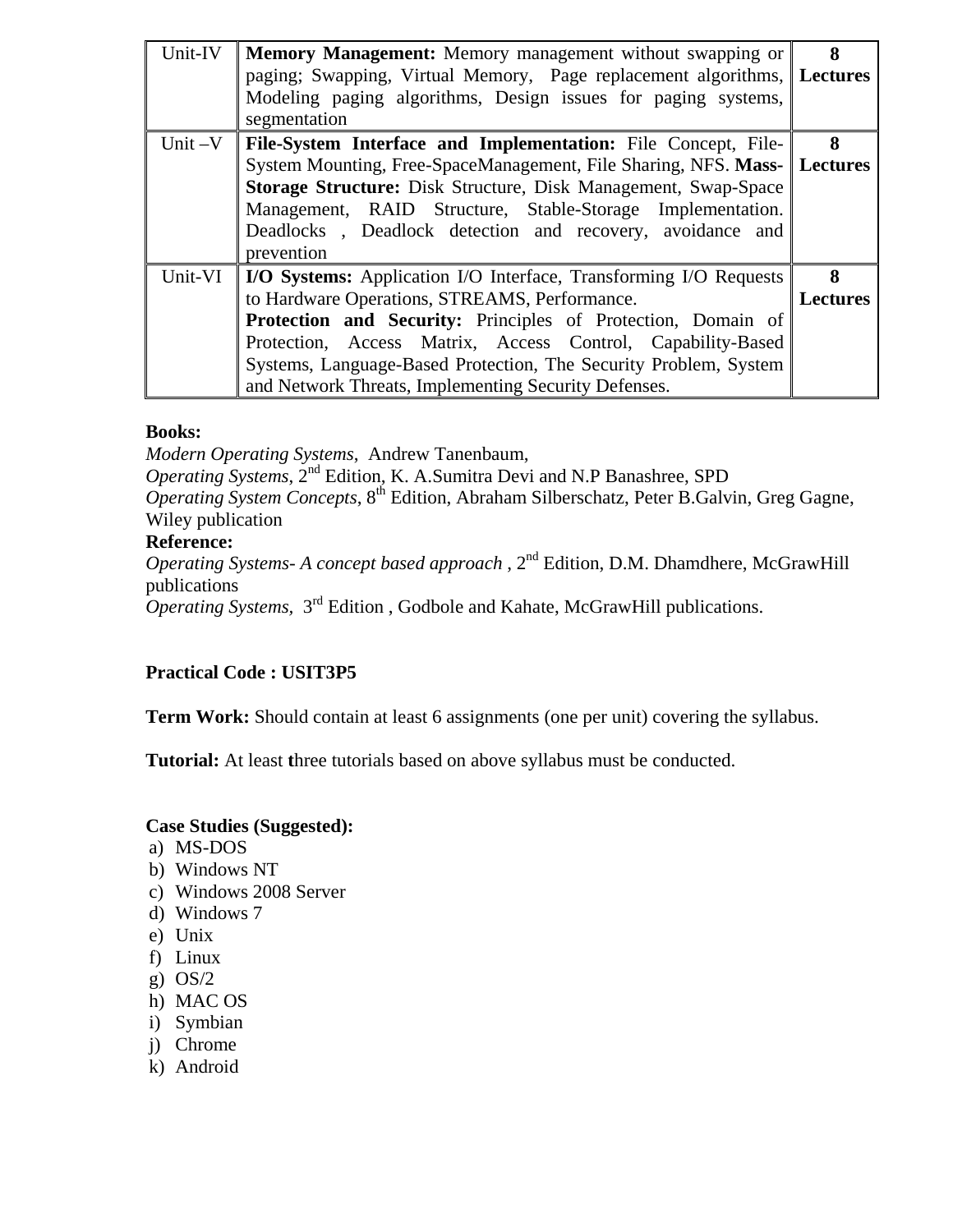| Unit-IV   | <b>Memory Management:</b> Memory management without swapping or<br>paging; Swapping, Virtual Memory, Page replacement algorithms, Lectures<br>Modeling paging algorithms, Design issues for paging systems,<br>segmentation | 8               |
|-----------|-----------------------------------------------------------------------------------------------------------------------------------------------------------------------------------------------------------------------------|-----------------|
| Unit $-V$ | File-System Interface and Implementation: File Concept, File-                                                                                                                                                               | 8               |
|           | System Mounting, Free-SpaceManagement, File Sharing, NFS. Mass- Lectures                                                                                                                                                    |                 |
|           | Storage Structure: Disk Structure, Disk Management, Swap-Space                                                                                                                                                              |                 |
|           | Management, RAID Structure, Stable-Storage Implementation.                                                                                                                                                                  |                 |
|           | Deadlocks, Deadlock detection and recovery, avoidance and                                                                                                                                                                   |                 |
|           | prevention                                                                                                                                                                                                                  |                 |
| Unit-VI   | I/O Systems: Application I/O Interface, Transforming I/O Requests                                                                                                                                                           | 8               |
|           | to Hardware Operations, STREAMS, Performance.                                                                                                                                                                               | <b>Lectures</b> |
|           | Protection and Security: Principles of Protection, Domain of                                                                                                                                                                |                 |
|           | Protection, Access Matrix, Access Control, Capability-Based                                                                                                                                                                 |                 |
|           | Systems, Language-Based Protection, The Security Problem, System                                                                                                                                                            |                 |
|           | and Network Threats, Implementing Security Defenses.                                                                                                                                                                        |                 |

*Modern Operating Systems*, Andrew Tanenbaum,

*Operating Systems*, 2nd Edition, K. A.Sumitra Devi and N.P Banashree, SPD

*Operating System Concepts*, 8th Edition, Abraham Silberschatz, Peter B.Galvin, Greg Gagne, Wiley publication

## **Reference:**

*Operating Systems- A concept based approach*, 2<sup>nd</sup> Edition, D.M. Dhamdhere, McGrawHill publications

*Operating Systems,* 3rd Edition , Godbole and Kahate, McGrawHill publications.

# **Practical Code : USIT3P5**

**Term Work:** Should contain at least 6 assignments (one per unit) covering the syllabus.

**Tutorial:** At least **t**hree tutorials based on above syllabus must be conducted.

#### **Case Studies (Suggested):**

- a) MS-DOS
- b) Windows NT
- c) Windows 2008 Server
- d) Windows 7
- e) Unix
- f) Linux
- g) OS/2
- h) MAC OS
- i) Symbian
- j) Chrome
- k) Android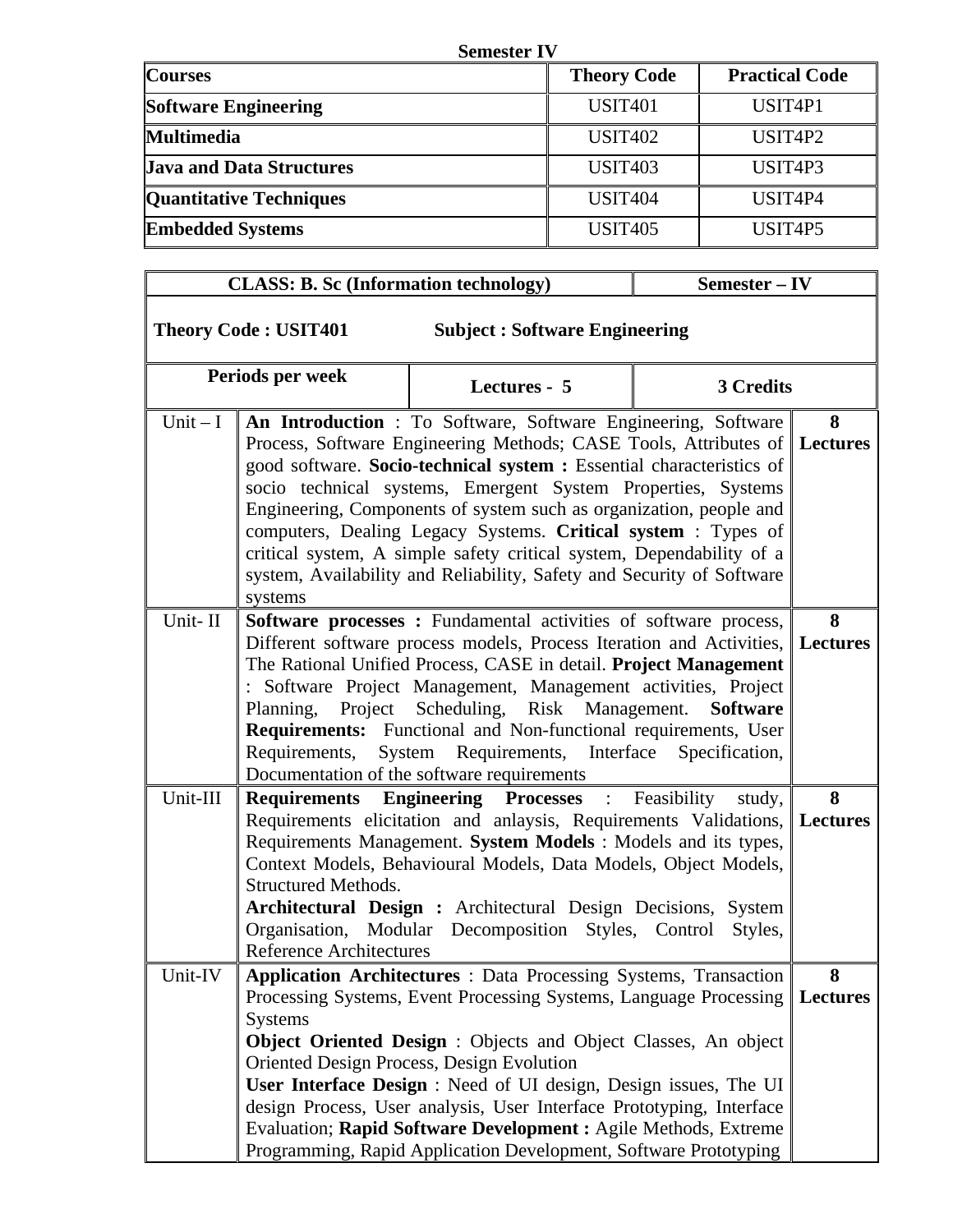| <b>Semester IV</b>              |                    |                                  |  |  |
|---------------------------------|--------------------|----------------------------------|--|--|
| <b>Courses</b>                  | <b>Theory Code</b> | <b>Practical Code</b>            |  |  |
| <b>Software Engineering</b>     | <b>USIT401</b>     | USIT <sub>4P1</sub>              |  |  |
| <b>Multimedia</b>               | <b>USIT402</b>     | USIT <sub>4</sub> P <sub>2</sub> |  |  |
| <b>Java and Data Structures</b> | <b>USIT403</b>     | USIT <sub>4</sub> P <sub>3</sub> |  |  |
| <b>Quantitative Techniques</b>  | <b>USIT404</b>     | USIT4P4                          |  |  |
| <b>Embedded Systems</b>         | <b>USIT405</b>     | USIT4P5                          |  |  |

|           | <b>CLASS: B. Sc (Information technology)</b>                 |                                                                                                                                                                                                                                                                                                                                                                                                                                                                                                                                                                           | Semester - IV     |                      |
|-----------|--------------------------------------------------------------|---------------------------------------------------------------------------------------------------------------------------------------------------------------------------------------------------------------------------------------------------------------------------------------------------------------------------------------------------------------------------------------------------------------------------------------------------------------------------------------------------------------------------------------------------------------------------|-------------------|----------------------|
|           | <b>Theory Code: USIT401</b>                                  | <b>Subject: Software Engineering</b>                                                                                                                                                                                                                                                                                                                                                                                                                                                                                                                                      |                   |                      |
|           | Periods per week                                             | Lectures - 5                                                                                                                                                                                                                                                                                                                                                                                                                                                                                                                                                              | 3 Credits         |                      |
| Unit $-I$ | systems                                                      | An Introduction : To Software, Software Engineering, Software<br>Process, Software Engineering Methods; CASE Tools, Attributes of Lectures<br>good software. Socio-technical system : Essential characteristics of<br>socio technical systems, Emergent System Properties, Systems<br>Engineering, Components of system such as organization, people and<br>computers, Dealing Legacy Systems. Critical system: Types of<br>critical system, A simple safety critical system, Dependability of a<br>system, Availability and Reliability, Safety and Security of Software |                   | 8                    |
| Unit-II   | Requirements,                                                | Software processes: Fundamental activities of software process,<br>Different software process models, Process Iteration and Activities, Lectures<br>The Rational Unified Process, CASE in detail. Project Management<br>: Software Project Management, Management activities, Project<br>Planning, Project Scheduling, Risk Management.<br>Requirements: Functional and Non-functional requirements, User<br>System Requirements, Interface Specification,<br>Documentation of the software requirements                                                                  | <b>Software</b>   | 8                    |
| Unit-III  | <b>Structured Methods.</b><br><b>Reference Architectures</b> | <b>Requirements Engineering Processes</b> : Feasibility<br>Requirements elicitation and anlaysis, Requirements Validations, Lectures<br>Requirements Management. System Models : Models and its types,<br>Context Models, Behavioural Models, Data Models, Object Models,<br>Architectural Design : Architectural Design Decisions, System<br>Organisation, Modular Decomposition Styles, Control                                                                                                                                                                         | study,<br>Styles, | 8                    |
| Unit-IV   | <b>Systems</b>                                               | <b>Application Architectures</b> : Data Processing Systems, Transaction<br>Processing Systems, Event Processing Systems, Language Processing<br><b>Object Oriented Design :</b> Objects and Object Classes, An object<br>Oriented Design Process, Design Evolution<br>User Interface Design : Need of UI design, Design issues, The UI<br>design Process, User analysis, User Interface Prototyping, Interface<br>Evaluation; Rapid Software Development : Agile Methods, Extreme                                                                                         |                   | 8<br><b>Lectures</b> |

Programming, Rapid Application Development, Software Prototyping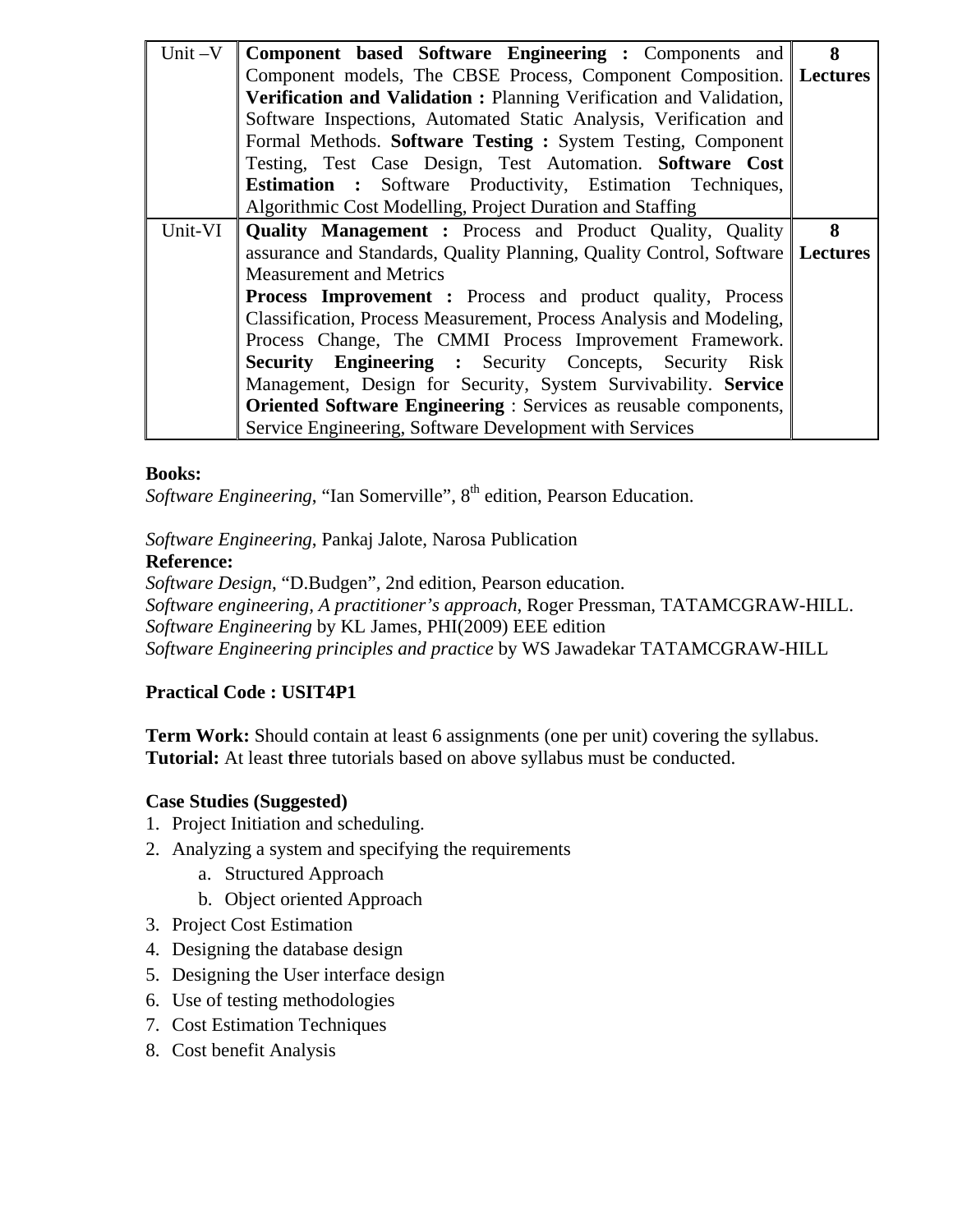| Unit $-V$ | Component based Software Engineering : Components and                         | 8 |
|-----------|-------------------------------------------------------------------------------|---|
|           | Component models, The CBSE Process, Component Composition. Lectures           |   |
|           | Verification and Validation: Planning Verification and Validation,            |   |
|           | Software Inspections, Automated Static Analysis, Verification and             |   |
|           | Formal Methods. Software Testing: System Testing, Component                   |   |
|           | Testing, Test Case Design, Test Automation. Software Cost                     |   |
|           | <b>Estimation :</b> Software Productivity, Estimation Techniques,             |   |
|           | Algorithmic Cost Modelling, Project Duration and Staffing                     |   |
| Unit-VI   | <b>Quality Management :</b> Process and Product Quality, Quality              | 8 |
|           | assurance and Standards, Quality Planning, Quality Control, Software Lectures |   |
|           | <b>Measurement and Metrics</b>                                                |   |
|           | <b>Process Improvement :</b> Process and product quality, Process             |   |
|           | Classification, Process Measurement, Process Analysis and Modeling,           |   |
|           | Process Change, The CMMI Process Improvement Framework.                       |   |
|           | <b>Security Engineering :</b> Security Concepts, Security Risk                |   |
|           | Management, Design for Security, System Survivability. Service                |   |
|           | <b>Oriented Software Engineering:</b> Services as reusable components,        |   |
|           | Service Engineering, Software Development with Services                       |   |

*Software Engineering*, "Ian Somerville", 8<sup>th</sup> edition, Pearson Education.

*Software Engineering*, Pankaj Jalote, Narosa Publication

#### **Reference:**

*Software Design*, "D.Budgen", 2nd edition, Pearson education. *Software engineering, A practitioner's approach*, Roger Pressman, TATAMCGRAW-HILL. *Software Engineering* by KL James, PHI(2009) EEE edition *Software Engineering principles and practice* by WS Jawadekar TATAMCGRAW-HILL

# **Practical Code : USIT4P1**

**Term Work:** Should contain at least 6 assignments (one per unit) covering the syllabus. **Tutorial:** At least **t**hree tutorials based on above syllabus must be conducted.

#### **Case Studies (Suggested)**

- 1. Project Initiation and scheduling.
- 2. Analyzing a system and specifying the requirements
	- a. Structured Approach
	- b. Object oriented Approach
- 3. Project Cost Estimation
- 4. Designing the database design
- 5. Designing the User interface design
- 6. Use of testing methodologies
- 7. Cost Estimation Techniques
- 8. Cost benefit Analysis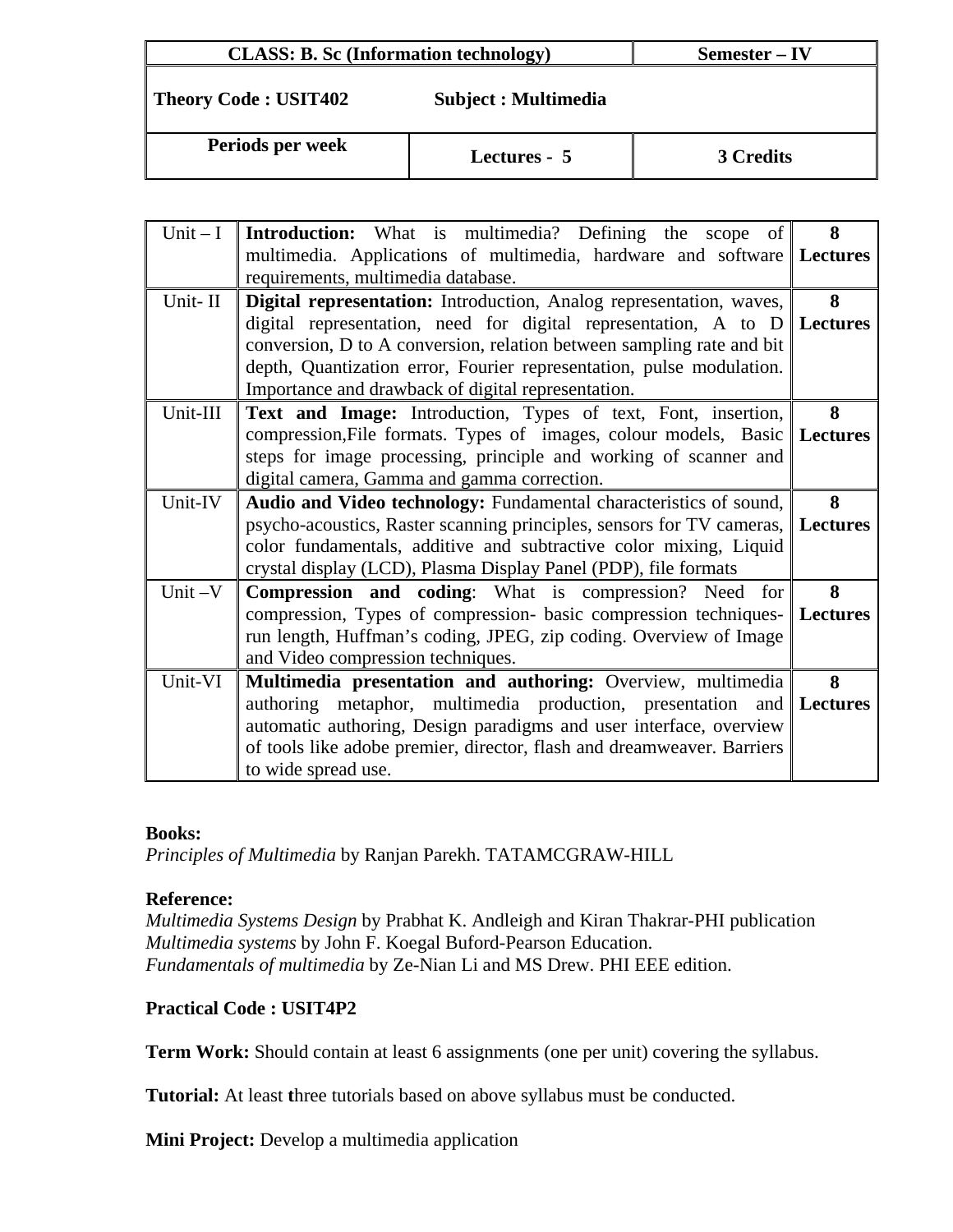| <b>CLASS: B. Sc (Information technology)</b> |                      | Semester – IV    |
|----------------------------------------------|----------------------|------------------|
| <b>Theory Code: USIT402</b>                  | Subject : Multimedia |                  |
| Periods per week                             | Lectures - 5         | <b>3 Credits</b> |

| $Unit - I$ | <b>Introduction:</b> What is multimedia? Defining the scope of                 | 8 |
|------------|--------------------------------------------------------------------------------|---|
|            | multimedia. Applications of multimedia, hardware and software Lectures         |   |
|            | requirements, multimedia database.                                             |   |
| Unit-II    | Digital representation: Introduction, Analog representation, waves,            | 8 |
|            | digital representation, need for digital representation, A to $D$ Lectures     |   |
|            | conversion, D to A conversion, relation between sampling rate and bit          |   |
|            | depth, Quantization error, Fourier representation, pulse modulation.           |   |
|            | Importance and drawback of digital representation.                             |   |
| Unit-III   | Text and Image: Introduction, Types of text, Font, insertion,                  | 8 |
|            | compression, File formats. Types of images, colour models, Basic   Lectures    |   |
|            | steps for image processing, principle and working of scanner and               |   |
|            | digital camera, Gamma and gamma correction.                                    |   |
| Unit-IV    | Audio and Video technology: Fundamental characteristics of sound,              | 8 |
|            | psycho-acoustics, Raster scanning principles, sensors for TV cameras, Lectures |   |
|            | color fundamentals, additive and subtractive color mixing, Liquid              |   |
|            | crystal display (LCD), Plasma Display Panel (PDP), file formats                |   |
| Unit-V     | <b>Compression and coding:</b> What is compression? Need for                   | 8 |
|            | compression, Types of compression- basic compression techniques- Lectures      |   |
|            | run length, Huffman's coding, JPEG, zip coding. Overview of Image              |   |
|            | and Video compression techniques.                                              |   |
| Unit-VI    | Multimedia presentation and authoring: Overview, multimedia                    | 8 |
|            | authoring metaphor, multimedia production, presentation and Lectures           |   |
|            | automatic authoring, Design paradigms and user interface, overview             |   |
|            | of tools like adobe premier, director, flash and dreamweaver. Barriers         |   |
|            | to wide spread use.                                                            |   |

*Principles of Multimedia* by Ranjan Parekh. TATAMCGRAW-HILL

#### **Reference:**

*Multimedia Systems Design* by Prabhat K. Andleigh and Kiran Thakrar-PHI publication *Multimedia systems* by John F. Koegal Buford-Pearson Education. *Fundamentals of multimedia* by Ze-Nian Li and MS Drew. PHI EEE edition.

#### **Practical Code : USIT4P2**

**Term Work:** Should contain at least 6 assignments (one per unit) covering the syllabus.

**Tutorial:** At least **t**hree tutorials based on above syllabus must be conducted.

**Mini Project:** Develop a multimedia application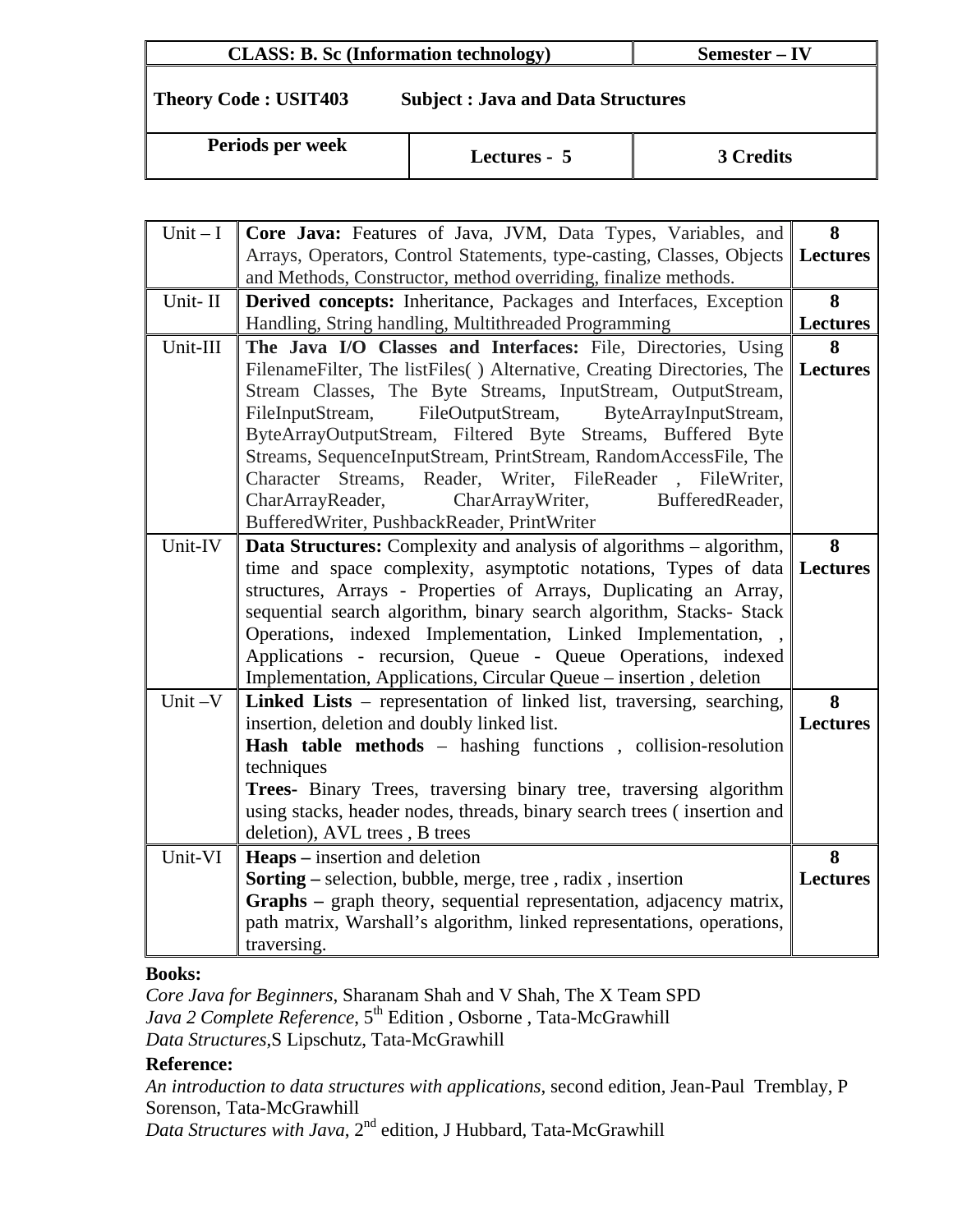## **CLASS: B. Sc (Information technology)** Semester – IV

# **Theory Code : USIT403 Subject : Java and Data Structures**

**Periods per week** Lectures - 5 3 Credits

| Unit $-I$ | Core Java: Features of Java, JVM, Data Types, Variables, and                                                                             | 8               |
|-----------|------------------------------------------------------------------------------------------------------------------------------------------|-----------------|
|           | Arrays, Operators, Control Statements, type-casting, Classes, Objects                                                                    | <b>Lectures</b> |
|           | and Methods, Constructor, method overriding, finalize methods.                                                                           |                 |
| Unit-II   | <b>Derived concepts:</b> Inheritance, Packages and Interfaces, Exception                                                                 | 8               |
|           | Handling, String handling, Multithreaded Programming                                                                                     | <b>Lectures</b> |
| Unit-III  | The Java I/O Classes and Interfaces: File, Directories, Using                                                                            | 8               |
|           | Filename Filter, The list Files () Alternative, Creating Directories, The                                                                | <b>Lectures</b> |
|           | Stream Classes, The Byte Streams, InputStream, OutputStream,                                                                             |                 |
|           | FileInputStream,<br>FileOutputStream,<br>ByteArrayInputStream,                                                                           |                 |
|           | ByteArrayOutputStream, Filtered Byte Streams, Buffered Byte                                                                              |                 |
|           | Streams, SequenceInputStream, PrintStream, RandomAccessFile, The                                                                         |                 |
|           | Character Streams, Reader, Writer, FileReader, FileWriter,                                                                               |                 |
|           | CharArrayReader,<br>CharArrayWriter,<br>BufferedReader,                                                                                  |                 |
|           | BufferedWriter, PushbackReader, PrintWriter                                                                                              |                 |
| Unit-IV   | <b>Data Structures:</b> Complexity and analysis of algorithms – algorithm,                                                               | 8               |
|           | time and space complexity, asymptotic notations, Types of data                                                                           | Lectures        |
|           | structures, Arrays - Properties of Arrays, Duplicating an Array,                                                                         |                 |
|           | sequential search algorithm, binary search algorithm, Stacks- Stack                                                                      |                 |
|           | Operations, indexed Implementation, Linked Implementation, ,                                                                             |                 |
|           | Applications - recursion, Queue - Queue Operations, indexed                                                                              |                 |
|           | Implementation, Applications, Circular Queue – insertion, deletion                                                                       |                 |
| Unit $-V$ | Linked Lists - representation of linked list, traversing, searching,                                                                     | 8               |
|           | insertion, deletion and doubly linked list.                                                                                              | <b>Lectures</b> |
|           | Hash table methods - hashing functions, collision-resolution                                                                             |                 |
|           | techniques                                                                                                                               |                 |
|           | Trees- Binary Trees, traversing binary tree, traversing algorithm                                                                        |                 |
|           | using stacks, header nodes, threads, binary search trees (insertion and                                                                  |                 |
| Unit-VI   | deletion), AVL trees, B trees                                                                                                            |                 |
|           | <b>Heaps</b> – insertion and deletion                                                                                                    | 8               |
|           | <b>Sorting</b> – selection, bubble, merge, tree, radix, insertion<br>Graphs – graph theory, sequential representation, adjacency matrix, | <b>Lectures</b> |
|           | path matrix, Warshall's algorithm, linked representations, operations,                                                                   |                 |
|           | traversing.                                                                                                                              |                 |
|           |                                                                                                                                          |                 |

#### **Books:**

*Core Java for Beginners*, Sharanam Shah and V Shah, The X Team SPD *Java 2 Complete Reference*, 5<sup>th</sup> Edition, Osborne, Tata-McGrawhill *Data Structures*,S Lipschutz, Tata-McGrawhill

#### **Reference:**

*An introduction to data structures with applications*, second edition, Jean-Paul Tremblay, P Sorenson, Tata-McGrawhill

*Data Structures with Java*, 2nd edition, J Hubbard, Tata-McGrawhill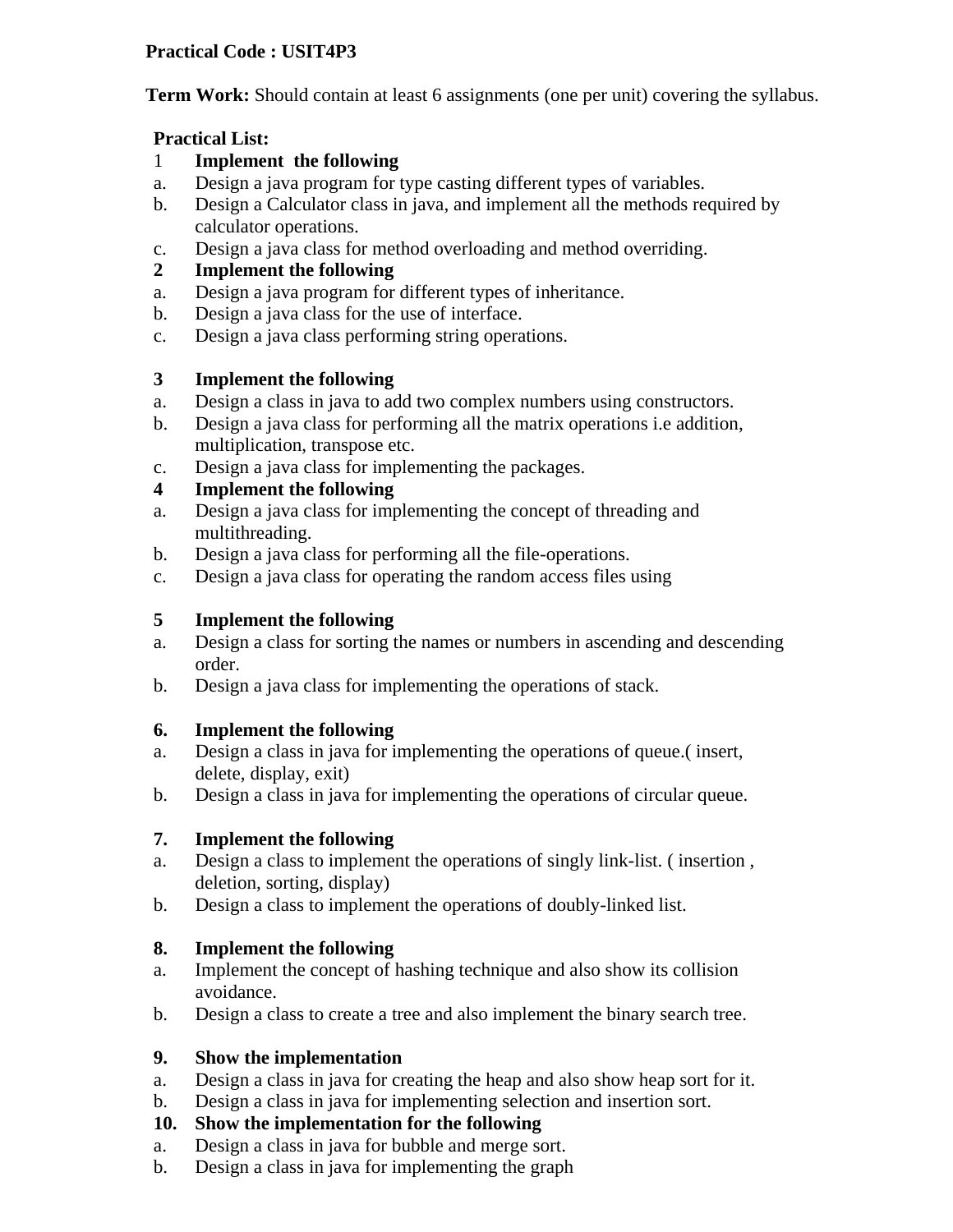## **Practical Code : USIT4P3**

**Term Work:** Should contain at least 6 assignments (one per unit) covering the syllabus.

#### **Practical List:**

- 1 **Implement the following**
- a. Design a java program for type casting different types of variables.
- b. Design a Calculator class in java, and implement all the methods required by calculator operations.
- c. Design a java class for method overloading and method overriding.
- **2 Implement the following**
- a. Design a java program for different types of inheritance.
- b. Design a java class for the use of interface.
- c. Design a java class performing string operations.

## **3 Implement the following**

- a. Design a class in java to add two complex numbers using constructors.
- b. Design a java class for performing all the matrix operations i.e addition, multiplication, transpose etc.
- c. Design a java class for implementing the packages.

# **4 Implement the following**

- a. Design a java class for implementing the concept of threading and multithreading.
- b. Design a java class for performing all the file-operations.
- c. Design a java class for operating the random access files using

## **5 Implement the following**

- a. Design a class for sorting the names or numbers in ascending and descending order.
- b. Design a java class for implementing the operations of stack.

#### **6. Implement the following**

- a. Design a class in java for implementing the operations of queue.( insert, delete, display, exit)
- b. Design a class in java for implementing the operations of circular queue.

#### **7. Implement the following**

- a. Design a class to implement the operations of singly link-list. ( insertion , deletion, sorting, display)
- b. Design a class to implement the operations of doubly-linked list.

# **8. Implement the following**

- a. Implement the concept of hashing technique and also show its collision avoidance.
- b. Design a class to create a tree and also implement the binary search tree.

#### **9. Show the implementation**

- a. Design a class in java for creating the heap and also show heap sort for it.
- b. Design a class in java for implementing selection and insertion sort.

# **10. Show the implementation for the following**

- a. Design a class in java for bubble and merge sort.
- b. Design a class in java for implementing the graph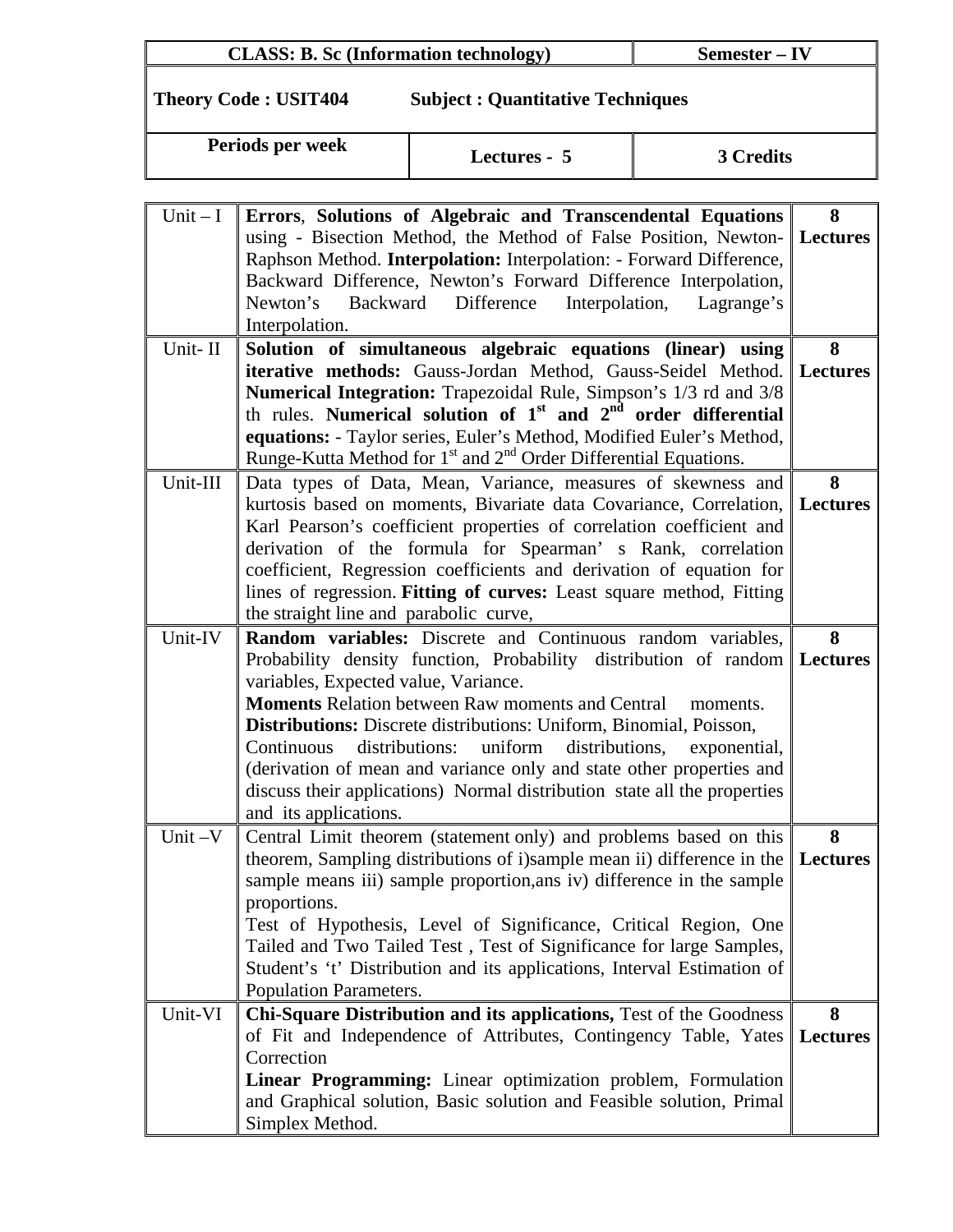| <b>CLASS: B. Sc (Information technology)</b><br>Semester – IV |
|---------------------------------------------------------------|
|---------------------------------------------------------------|

**Theory Code : USIT404 Subject : Quantitative Techniques** 

| Periods per week | Lectures - 5 | 3 Credits |
|------------------|--------------|-----------|

| $Unit - I$ | Errors, Solutions of Algebraic and Transcendental Equations                                                                                     | 8               |
|------------|-------------------------------------------------------------------------------------------------------------------------------------------------|-----------------|
|            | using - Bisection Method, the Method of False Position, Newton-                                                                                 | <b>Lectures</b> |
|            | Raphson Method. Interpolation: Interpolation: - Forward Difference,                                                                             |                 |
|            | Backward Difference, Newton's Forward Difference Interpolation,                                                                                 |                 |
|            | Newton's Backward Difference<br>Interpolation,<br>Lagrange's<br>Interpolation.                                                                  |                 |
| Unit-II    | Solution of simultaneous algebraic equations (linear) using                                                                                     | 8               |
|            | iterative methods: Gauss-Jordan Method, Gauss-Seidel Method.                                                                                    | <b>Lectures</b> |
|            | Numerical Integration: Trapezoidal Rule, Simpson's 1/3 rd and 3/8                                                                               |                 |
|            | th rules. Numerical solution of $1st$ and $2nd$ order differential                                                                              |                 |
|            | equations: - Taylor series, Euler's Method, Modified Euler's Method,                                                                            |                 |
|            | Runge-Kutta Method for 1 <sup>st</sup> and 2 <sup>nd</sup> Order Differential Equations.                                                        |                 |
| Unit-III   | Data types of Data, Mean, Variance, measures of skewness and                                                                                    | 8               |
|            | kurtosis based on moments, Bivariate data Covariance, Correlation,                                                                              | Lectures        |
|            | Karl Pearson's coefficient properties of correlation coefficient and                                                                            |                 |
|            | derivation of the formula for Spearman's Rank, correlation                                                                                      |                 |
|            | coefficient, Regression coefficients and derivation of equation for                                                                             |                 |
|            | lines of regression. Fitting of curves: Least square method, Fitting<br>the straight line and parabolic curve,                                  |                 |
| Unit-IV    | Random variables: Discrete and Continuous random variables,                                                                                     | 8               |
|            | Probability density function, Probability distribution of random Lectures                                                                       |                 |
|            | variables, Expected value, Variance.                                                                                                            |                 |
|            | <b>Moments Relation between Raw moments and Central</b><br>moments.                                                                             |                 |
|            | <b>Distributions:</b> Discrete distributions: Uniform, Binomial, Poisson,                                                                       |                 |
|            | Continuous<br>distributions:<br>uniform distributions,<br>exponential,                                                                          |                 |
|            | (derivation of mean and variance only and state other properties and                                                                            |                 |
|            | discuss their applications) Normal distribution state all the properties                                                                        |                 |
|            | and its applications.                                                                                                                           |                 |
| Unit $-V$  | Central Limit theorem (statement only) and problems based on this                                                                               | 8               |
|            | theorem, Sampling distributions of i)sample mean ii) difference in the<br>sample means iii) sample proportion, ans iv) difference in the sample | <b>Lectures</b> |
|            | proportions.                                                                                                                                    |                 |
|            | Test of Hypothesis, Level of Significance, Critical Region, One                                                                                 |                 |
|            | Tailed and Two Tailed Test, Test of Significance for large Samples,                                                                             |                 |
|            | Student's 't' Distribution and its applications, Interval Estimation of                                                                         |                 |
|            | <b>Population Parameters.</b>                                                                                                                   |                 |
| Unit-VI    | Chi-Square Distribution and its applications, Test of the Goodness                                                                              | 8               |
|            | of Fit and Independence of Attributes, Contingency Table, Yates                                                                                 | <b>Lectures</b> |
|            | Correction                                                                                                                                      |                 |
|            | Linear Programming: Linear optimization problem, Formulation                                                                                    |                 |
|            | and Graphical solution, Basic solution and Feasible solution, Primal<br>Simplex Method.                                                         |                 |
|            |                                                                                                                                                 |                 |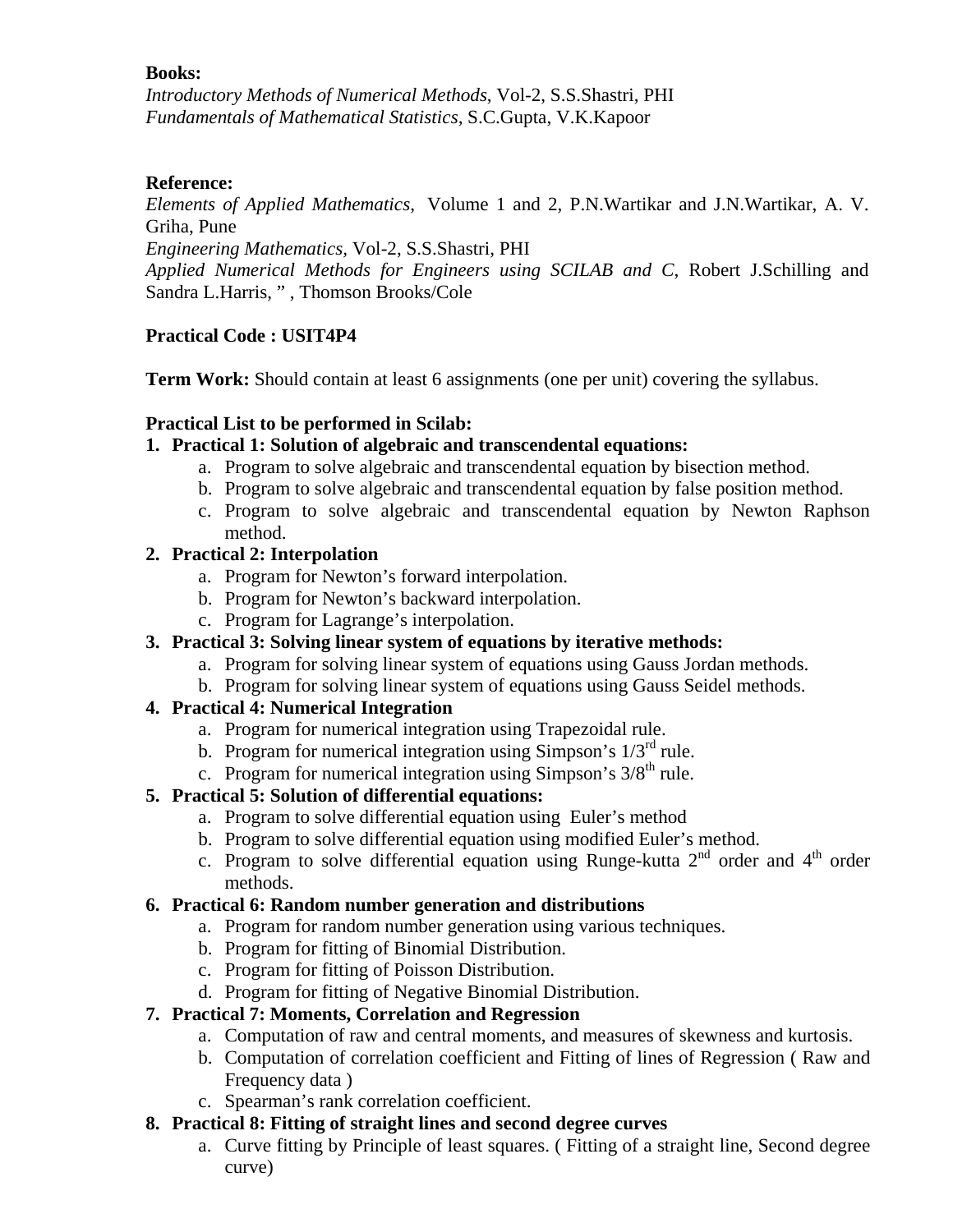*Introductory Methods of Numerical Methods*, Vol-2, S.S.Shastri, PHI *Fundamentals of Mathematical Statistics,* S.C.Gupta, V.K.Kapoor

## **Reference:**

*Elements of Applied Mathematics*, Volume 1 and 2, P.N.Wartikar and J.N.Wartikar, A. V. Griha, Pune

*Engineering Mathematics,* Vol-2, S.S.Shastri, PHI

*Applied Numerical Methods for Engineers using SCILAB and C*, Robert J.Schilling and Sandra L.Harris, " , Thomson Brooks/Cole

# **Practical Code : USIT4P4**

**Term Work:** Should contain at least 6 assignments (one per unit) covering the syllabus.

## **Practical List to be performed in Scilab:**

## **1. Practical 1: Solution of algebraic and transcendental equations:**

- a. Program to solve algebraic and transcendental equation by bisection method.
- b. Program to solve algebraic and transcendental equation by false position method.
- c. Program to solve algebraic and transcendental equation by Newton Raphson method.

## **2. Practical 2: Interpolation**

- a. Program for Newton's forward interpolation.
- b. Program for Newton's backward interpolation.
- c. Program for Lagrange's interpolation.
- **3. Practical 3: Solving linear system of equations by iterative methods:** 
	- a. Program for solving linear system of equations using Gauss Jordan methods.
	- b. Program for solving linear system of equations using Gauss Seidel methods.

# **4. Practical 4: Numerical Integration**

- a. Program for numerical integration using Trapezoidal rule.
- b. Program for numerical integration using Simpson's  $1/3^{rd}$  rule.
- c. Program for numerical integration using Simpson's  $3/8<sup>th</sup>$  rule.

# **5. Practical 5: Solution of differential equations:**

- a. Program to solve differential equation using Euler's method
- b. Program to solve differential equation using modified Euler's method.
- c. Program to solve differential equation using Runge-kutta  $2<sup>nd</sup>$  order and  $4<sup>th</sup>$  order methods.

#### **6. Practical 6: Random number generation and distributions**

- a. Program for random number generation using various techniques.
- b. Program for fitting of Binomial Distribution.
- c. Program for fitting of Poisson Distribution.
- d. Program for fitting of Negative Binomial Distribution.

# **7. Practical 7: Moments, Correlation and Regression**

- a. Computation of raw and central moments, and measures of skewness and kurtosis.
- b. Computation of correlation coefficient and Fitting of lines of Regression ( Raw and Frequency data )
- c. Spearman's rank correlation coefficient.

## **8. Practical 8: Fitting of straight lines and second degree curves**

a. Curve fitting by Principle of least squares. ( Fitting of a straight line, Second degree curve)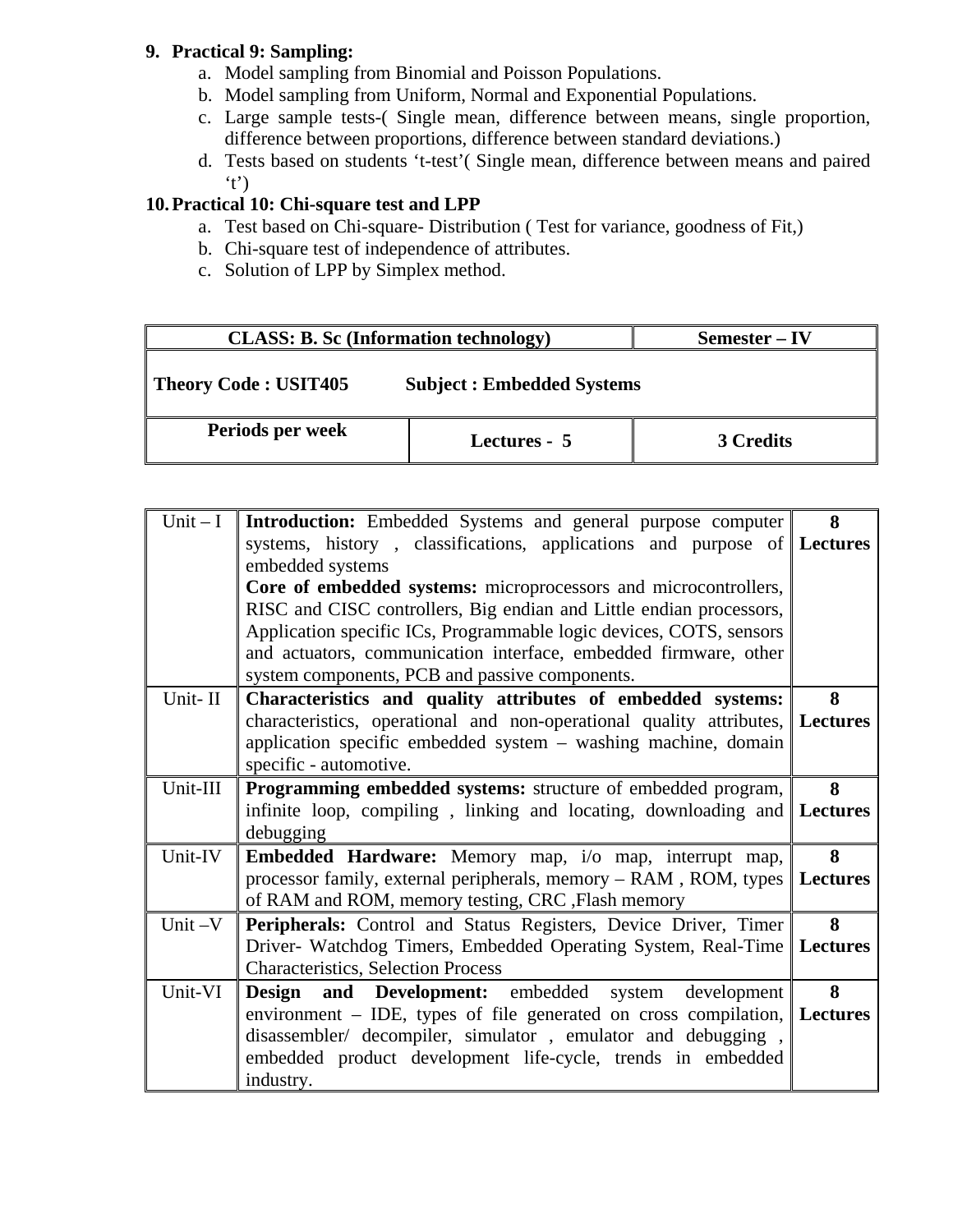## **9. Practical 9: Sampling:**

- a. Model sampling from Binomial and Poisson Populations.
- b. Model sampling from Uniform, Normal and Exponential Populations.
- c. Large sample tests-( Single mean, difference between means, single proportion, difference between proportions, difference between standard deviations.)
- d. Tests based on students 't-test'( Single mean, difference between means and paired 't')

# **10.Practical 10: Chi-square test and LPP**

- a. Test based on Chi-square- Distribution ( Test for variance, goodness of Fit,)
- b. Chi-square test of independence of attributes.
- c. Solution of LPP by Simplex method.

| <b>CLASS: B. Sc (Information technology)</b> |                                  | Semester – IV |  |
|----------------------------------------------|----------------------------------|---------------|--|
| Theory Code: USIT405                         | <b>Subject: Embedded Systems</b> |               |  |
| Periods per week                             | Lectures - 5                     | 3 Credits     |  |

| $Unit - I$ | <b>Introduction:</b> Embedded Systems and general purpose computer            | 8 |
|------------|-------------------------------------------------------------------------------|---|
|            | systems, history, classifications, applications and purpose of Lectures       |   |
|            | embedded systems                                                              |   |
|            | Core of embedded systems: microprocessors and microcontrollers,               |   |
|            | RISC and CISC controllers, Big endian and Little endian processors,           |   |
|            | Application specific ICs, Programmable logic devices, COTS, sensors           |   |
|            | and actuators, communication interface, embedded firmware, other              |   |
|            | system components, PCB and passive components.                                |   |
| Unit-II    | Characteristics and quality attributes of embedded systems:                   | 8 |
|            | characteristics, operational and non-operational quality attributes, Lectures |   |
|            | application specific embedded system – washing machine, domain                |   |
|            | specific - automotive.                                                        |   |
| Unit-III   | Programming embedded systems: structure of embedded program,                  | 8 |
|            | infinite loop, compiling, linking and locating, downloading and Lectures      |   |
|            | debugging                                                                     |   |
| Unit-IV    | <b>Embedded Hardware:</b> Memory map, i/o map, interrupt map,                 | 8 |
|            | processor family, external peripherals, memory $-$ RAM, ROM, types Lectures   |   |
|            | of RAM and ROM, memory testing, CRC , Flash memory                            |   |
| Unit $-V$  | Peripherals: Control and Status Registers, Device Driver, Timer               | 8 |
|            | Driver- Watchdog Timers, Embedded Operating System, Real-Time   Lectures      |   |
|            | <b>Characteristics, Selection Process</b>                                     |   |
| Unit-VI    | Design<br><b>and</b> Development: embedded system<br>development              | 8 |
|            | environment – IDE, types of file generated on cross compilation, Lectures     |   |
|            | disassembler/ decompiler, simulator, emulator and debugging,                  |   |
|            | embedded product development life-cycle, trends in embedded                   |   |
|            | industry.                                                                     |   |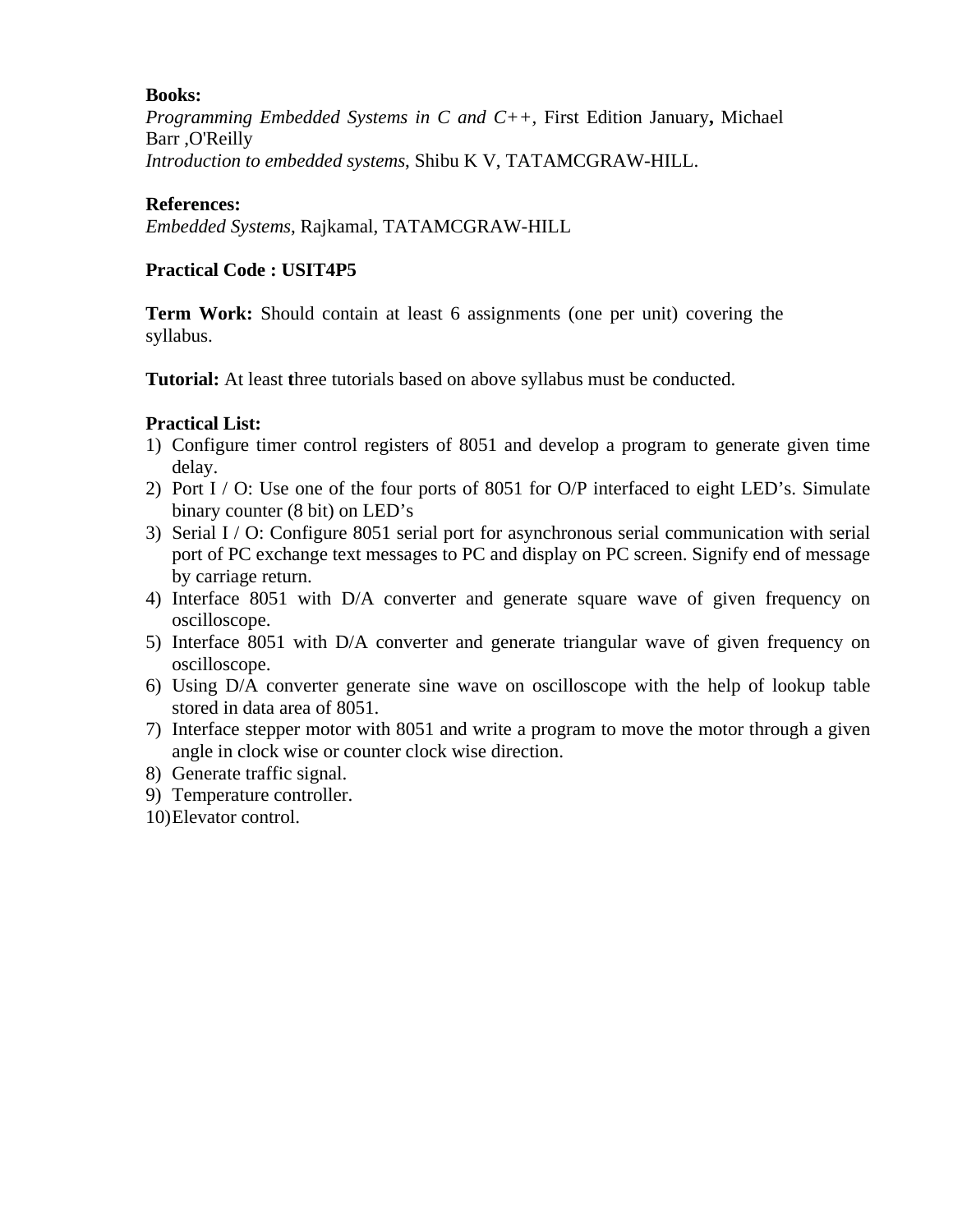*Programming Embedded Systems in C and C++,* First Edition January**,** Michael Barr ,O'Reilly *Introduction to embedded systems*, Shibu K V, TATAMCGRAW-HILL.

#### **References:**

*Embedded Systems*, Rajkamal, TATAMCGRAW-HILL

#### **Practical Code : USIT4P5**

**Term Work:** Should contain at least 6 assignments (one per unit) covering the syllabus.

**Tutorial:** At least three tutorials based on above syllabus must be conducted.

#### **Practical List:**

- 1) Configure timer control registers of 8051 and develop a program to generate given time delay.
- 2) Port  $I / O$ : Use one of the four ports of 8051 for O/P interfaced to eight LED's. Simulate binary counter (8 bit) on LED's
- 3) Serial I / O: Configure 8051 serial port for asynchronous serial communication with serial port of PC exchange text messages to PC and display on PC screen. Signify end of message by carriage return.
- 4) Interface 8051 with D/A converter and generate square wave of given frequency on oscilloscope.
- 5) Interface 8051 with D/A converter and generate triangular wave of given frequency on oscilloscope.
- 6) Using D/A converter generate sine wave on oscilloscope with the help of lookup table stored in data area of 8051.
- 7) Interface stepper motor with 8051 and write a program to move the motor through a given angle in clock wise or counter clock wise direction.
- 8) Generate traffic signal.
- 9) Temperature controller.
- 10)Elevator control.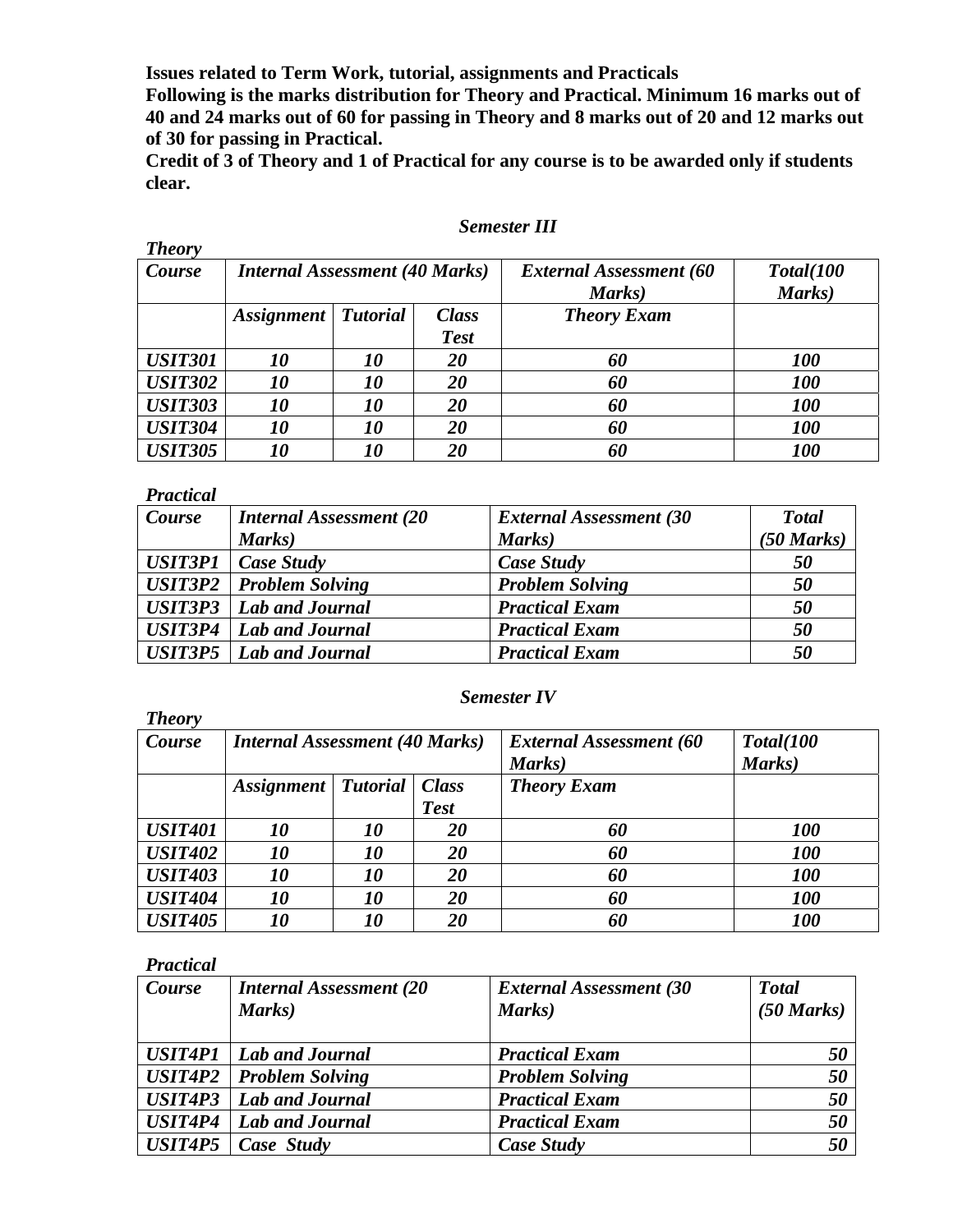**Issues related to Term Work, tutorial, assignments and Practicals** 

**Following is the marks distribution for Theory and Practical. Minimum 16 marks out of 40 and 24 marks out of 60 for passing in Theory and 8 marks out of 20 and 12 marks out of 30 for passing in Practical.** 

**Credit of 3 of Theory and 1 of Practical for any course is to be awarded only if students clear.** 

#### *Semester III*

| <b>Theory</b>  |                                       |                 |              |                                |            |
|----------------|---------------------------------------|-----------------|--------------|--------------------------------|------------|
| Course         | <b>Internal Assessment (40 Marks)</b> |                 |              | <b>External Assessment (60</b> | Total(100  |
|                |                                       |                 |              | Marks)                         | Marks)     |
|                | <i>Assignment</i>                     | <b>Tutorial</b> | <b>Class</b> | <b>Theory Exam</b>             |            |
|                |                                       |                 | <b>Test</b>  |                                |            |
| <b>USIT301</b> | <i>10</i>                             | <i>10</i>       | 20           | 60                             | <b>100</b> |
| <b>USIT302</b> | <i>10</i>                             | 10              | 20           | 60                             | <b>100</b> |
| <b>USIT303</b> | 10                                    | <i>10</i>       | 20           | 60                             | <b>100</b> |
| <b>USIT304</b> | 10                                    | <i>10</i>       | 20           | 60                             | <b>100</b> |
| <b>USIT305</b> | 10                                    | 10              | 20           | 60                             | <b>100</b> |

#### *Practical*

| Course | <b>Internal Assessment (20)</b>  | <b>External Assessment (30)</b> | <b>T</b> otal |
|--------|----------------------------------|---------------------------------|---------------|
|        | Marks)                           | Marks)                          | (50 Marks)    |
|        | $USIT3P1$ $Case Study$           | Case Study                      | 50            |
|        | <b>USIT3P2</b>   Problem Solving | <b>Problem Solving</b>          | 50            |
|        | <b>USIT3P3</b>   Lab and Journal | <b>Practical Exam</b>           | 50            |
|        | <b>USIT3P4</b>   Lab and Journal | <b>Practical Exam</b>           | 50            |
|        | <b>USIT3P5</b>   Lab and Journal | <b>Practical Exam</b>           | 50            |

#### *Semester IV*

| <b>Theory</b>  |                                       |                 |              |                                |            |
|----------------|---------------------------------------|-----------------|--------------|--------------------------------|------------|
| Course         | <b>Internal Assessment (40 Marks)</b> |                 |              | <b>External Assessment (60</b> | Total(100  |
|                |                                       |                 |              | Marks)                         | Marks)     |
|                | <i>Assignment</i>                     | <b>Tutorial</b> | <b>Class</b> | <b>Theory Exam</b>             |            |
|                |                                       |                 | <b>Test</b>  |                                |            |
| <b>USIT401</b> | <i>10</i>                             | <i>10</i>       | 20           | 60                             | <b>100</b> |
| <b>USIT402</b> | <i>10</i>                             | 10              | 20           | 60                             | <b>100</b> |
| <b>USIT403</b> | 10                                    | <i>10</i>       | 20           | 60                             | <b>100</b> |
| <b>USIT404</b> | 10                                    | <i>10</i>       | 20           | 60                             | <b>100</b> |
| <b>USIT405</b> | 10                                    | 10              | 20           | 60                             | <i>100</i> |

#### *Practical*

| Course  | <b>Internal Assessment (20)</b><br>Marks) | <b>External Assessment (30</b><br>Marks) | <b>Total</b><br>$(50 \text{ Marks})$ |
|---------|-------------------------------------------|------------------------------------------|--------------------------------------|
|         | <b>USIT4P1</b>   Lab and Journal          | <b>Practical Exam</b>                    | 50                                   |
|         | <b>USIT4P2</b>   Problem Solving          | <b>Problem Solving</b>                   | 50                                   |
| USIT4P3 | Lab and Journal                           | <b>Practical Exam</b>                    | 50                                   |
| USIT4P4 | Lab and Journal                           | <b>Practical Exam</b>                    | 50                                   |
|         | $\vert$ USIT4P5 $\vert$ Case Study        | Case Study                               | 50                                   |